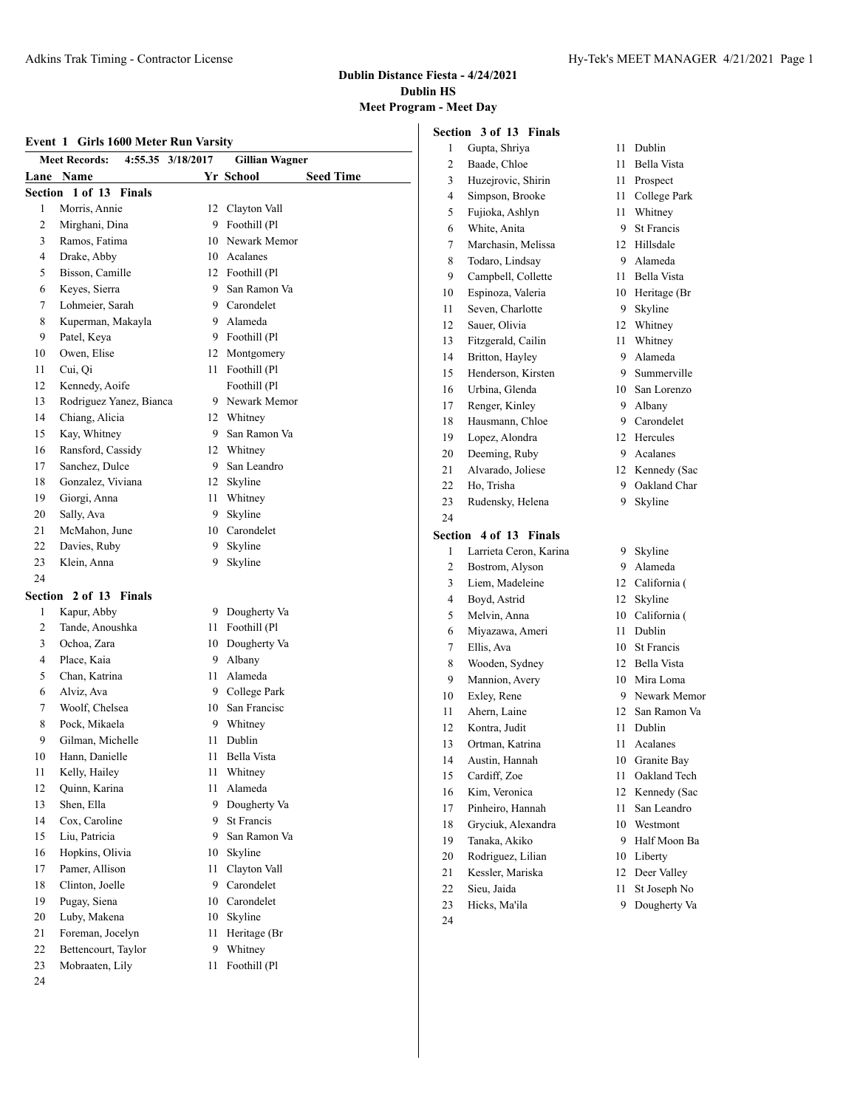#### **Dublin Distance Fiesta - 4/24/2021 Dublin HS Meet Program - Meet Day**

|        |                                           |      |                               |                | Section 3 of 13 |
|--------|-------------------------------------------|------|-------------------------------|----------------|-----------------|
|        | Event 1 Girls 1600 Meter Run Varsity      |      |                               | $\mathbf{1}$   | Gupta, Shriy    |
|        | <b>Meet Records:</b><br>4:55.35 3/18/2017 |      | <b>Gillian Wagner</b>         | 2              | Baade, Chloe    |
|        | Lane Name                                 |      | Yr School<br><b>Seed Time</b> | $\overline{3}$ | Huzejrovic, 9   |
|        | Section 1 of 13 Finals                    |      |                               | $\overline{4}$ | Simpson, Bro    |
| 1      | Morris, Annie                             |      | 12 Clayton Vall               | 5              | Fujioka, Ash    |
| 2      | Mirghani, Dina                            | 9    | Foothill (Pl                  | 6              | White, Anita    |
| 3      | Ramos, Fatima                             |      | 10 Newark Memor               | 7              | Marchasin, N    |
| 4      | Drake, Abby                               |      | 10 Acalanes                   | 8              | Todaro, Lind    |
| 5      | Bisson, Camille                           |      | 12 Foothill (Pl               | 9              | Campbell, C     |
| 6      | Keyes, Sierra                             |      | 9 San Ramon Va                | 10             | Espinoza, Va    |
| 7      | Lohmeier, Sarah                           |      | 9 Carondelet                  | 11             | Seven, Charl    |
| 8      | Kuperman, Makayla                         | 9    | Alameda                       | 12             | Sauer, Olivia   |
| 9      | Patel, Keya                               | 9    | Foothill (Pl                  | 13             | Fitzgerald, C   |
| 10     | Owen, Elise                               | 12   | Montgomery                    | 14             | Britton, Hayl   |
| 11     | Cui, Qi                                   | 11 - | Foothill (Pl                  | 15             | Henderson, F    |
| 12     | Kennedy, Aoife                            |      | Foothill (Pl                  | 16             | Urbina, Glen    |
| 13     | Rodriguez Yanez, Bianca                   |      | 9 Newark Memor                | 17             | Renger, Kinl    |
| 14     | Chiang, Alicia                            |      | 12 Whitney                    | 18             | Hausmann, C     |
| 15     | Kay, Whitney                              | 9    | San Ramon Va                  | 19             | Lopez, Alono    |
| 16     | Ransford, Cassidy                         |      | 12 Whitney                    | 20             | Deeming, Ru     |
| 17     | Sanchez, Dulce                            | 9    | San Leandro                   | 21             | Alvarado, Jo    |
| 18     | Gonzalez, Viviana                         | 12   | Skyline                       | 22             | Ho, Trisha      |
| 19     | Giorgi, Anna                              | 11   | Whitney                       | 23             | Rudensky, H     |
| 20     | Sally, Ava                                | 9    | Skyline                       | 24             |                 |
| 21     | McMahon, June                             | 10   | Carondelet                    |                | Section 4 of 13 |
| 22     | Davies, Ruby                              | 9    | Skyline                       | $\mathbf{1}$   | Larrieta Cerc   |
| 23     | Klein, Anna                               | 9    | Skyline                       | 2              | Bostrom, Aly    |
| 24     |                                           |      |                               | $\overline{3}$ | Liem, Madel     |
|        | Section 2 of 13 Finals                    |      |                               | 4              | Boyd, Astrid    |
| 1      | Kapur, Abby                               | 9    | Dougherty Va                  | 5              | Melvin, Anna    |
| 2      | Tande, Anoushka                           |      | 11 Foothill (Pl               | 6              | Miyazawa, A     |
| 3      | Ochoa, Zara                               |      | 10 Dougherty Va               | 7              | Ellis, Ava      |
| 4      | Place, Kaia                               | 9    | Albany                        | 8              | Wooden, Syc     |
| 5      | Chan, Katrina                             |      | 11 Alameda                    | 9              | Mannion, Av     |
| 6      | Alviz, Ava                                |      | 9 College Park                | 10             | Exley, Rene     |
| 7      | Woolf, Chelsea                            |      | 10 San Francisc               | 11             | Ahern, Laine    |
| 8      | Pock, Mikaela                             | 9    | Whitney                       | 12             | Kontra, Judit   |
| 9      | Gilman, Michelle                          |      | 11 Dublin                     | 13             | Ortman, Katı    |
| $10\,$ | Hann, Danielle                            | 11   | Bella Vista                   | 14             | Austin, Hanr    |
| 11     | Kelly, Hailey                             | 11   | Whitney                       | 15             | Cardiff, Zoe    |
| 12     | Quinn, Karina                             | 11   | Alameda                       | 16             | Kim, Veronio    |
| 13     | Shen, Ella                                | 9    | Dougherty Va                  | 17             | Pinheiro, Ha    |
| 14     | Cox, Caroline                             | 9    | St Francis                    | 18             | Gryciuk, Ale    |
| 15     | Liu, Patricia                             | 9    | San Ramon Va                  | 19             | Tanaka, Akik    |
| 16     | Hopkins, Olivia                           | 10   | Skyline                       | 20             | Rodriguez, L    |
| 17     | Pamer, Allison                            | 11   | Clayton Vall                  | 21             | Kessler, Mar    |
| 18     | Clinton, Joelle                           | 9    | Carondelet                    | 22             | Sieu, Jaida     |
| 19     | Pugay, Siena                              | 10   | Carondelet                    | 23             | Hicks, Ma'ila   |
| 20     | Luby, Makena                              | 10   | Skyline                       | 24             |                 |
| 21     | Foreman, Jocelyn                          | 11   | Heritage (Br                  |                |                 |
| $22\,$ | Bettencourt, Taylor                       | 9    | Whitney                       |                |                 |
| 23     | Mobraaten, Lily                           | 11   | Foothill (Pl                  |                |                 |

|                | <b>Meet Day</b>        |      |                   |
|----------------|------------------------|------|-------------------|
|                | ction 3 of 13 Finals   |      |                   |
| 1              | Gupta, Shriya          |      | 11 Dublin         |
| $\overline{2}$ | Baade, Chloe           | 11   | Bella Vista       |
| 3              | Huzejrovic, Shirin     |      | 11 Prospect       |
| 4              | Simpson, Brooke        | 11 - | College Park      |
| 5              | Fujioka, Ashlyn        |      | 11 Whitney        |
| 6              | White, Anita           | 9    | <b>St Francis</b> |
| 7              | Marchasin, Melissa     |      | 12 Hillsdale      |
| 8              | Todaro, Lindsay        | 9    | Alameda           |
| 9              | Campbell, Collette     | 11 - | Bella Vista       |
| 0              | Espinoza, Valeria      |      | 10 Heritage (Br   |
| 1              | Seven, Charlotte       | 9    | Skyline           |
| 2              | Sauer, Olivia          |      | 12 Whitney        |
| 3              | Fitzgerald, Cailin     | 11.  | Whitney           |
| 4              | Britton, Hayley        | 9.   | Alameda           |
| 5              | Henderson, Kirsten     | 9    | Summerville       |
| 6              | Urbina, Glenda         | 10   | San Lorenzo       |
| 7              | Renger, Kinley         | 9.   | Albany            |
| 8              | Hausmann, Chloe        | 9    | Carondelet        |
| 9              | Lopez, Alondra         |      | 12 Hercules       |
| 20             | Deeming, Ruby          |      | 9 Acalanes        |
| 21             | Alvarado, Joliese      | 12   | Kennedy (Sac      |
| :2             | Ho, Trisha             | 9.   | Oakland Char      |
| :3             | Rudensky, Helena       | 9    | Skyline           |
| !4             |                        |      |                   |
| ction          | 4 of 13 Finals         |      |                   |
| 1              | Larrieta Ceron, Karina |      | 9 Skyline         |
| 2              | Bostrom, Alyson        |      | 9 Alameda         |
| 3              | Liem, Madeleine        |      | 12 California (   |
| 4              | Boyd, Astrid           |      | 12 Skyline        |
| 5              | Melvin, Anna           |      | 10 California (   |
| 6              | Miyazawa, Ameri        |      | 11 Dublin         |
| 7              | Ellis, Ava             |      | 10 St Francis     |
| 8              | Wooden, Sydney         |      | 12 Bella Vista    |
| 9              | Mannion, Avery         |      | 10 Mira Loma      |
| 0              | Exley, Rene            |      | 9 Newark Memor    |
| 1              | Ahern, Laine           | 12   | San Ramon Va      |
| $\overline{2}$ | Kontra, Judit          | 11   | Dublin            |
| 3              | Ortman, Katrina        | 11   | Acalanes          |
| 4              | Austin, Hannah         | 10   | Granite Bay       |
| 5              | Cardiff, Zoe           | 11   | Oakland Tech      |
| 6              | Kim, Veronica          | 12   | Kennedy (Sac      |
| 7              | Pinheiro, Hannah       | 11   | San Leandro       |
| 8              | Gryciuk, Alexandra     | 10   | Westmont          |
| 9              | Tanaka, Akiko          | 9    | Half Moon Ba      |
| 20             | Rodriguez, Lilian      | 10   | Liberty           |
| 21             | Kessler, Mariska       | 12   | Deer Valley       |

- Sieu, Jaida 11 St Joseph No
- Hicks, Ma'ila 9 Dougherty Va
-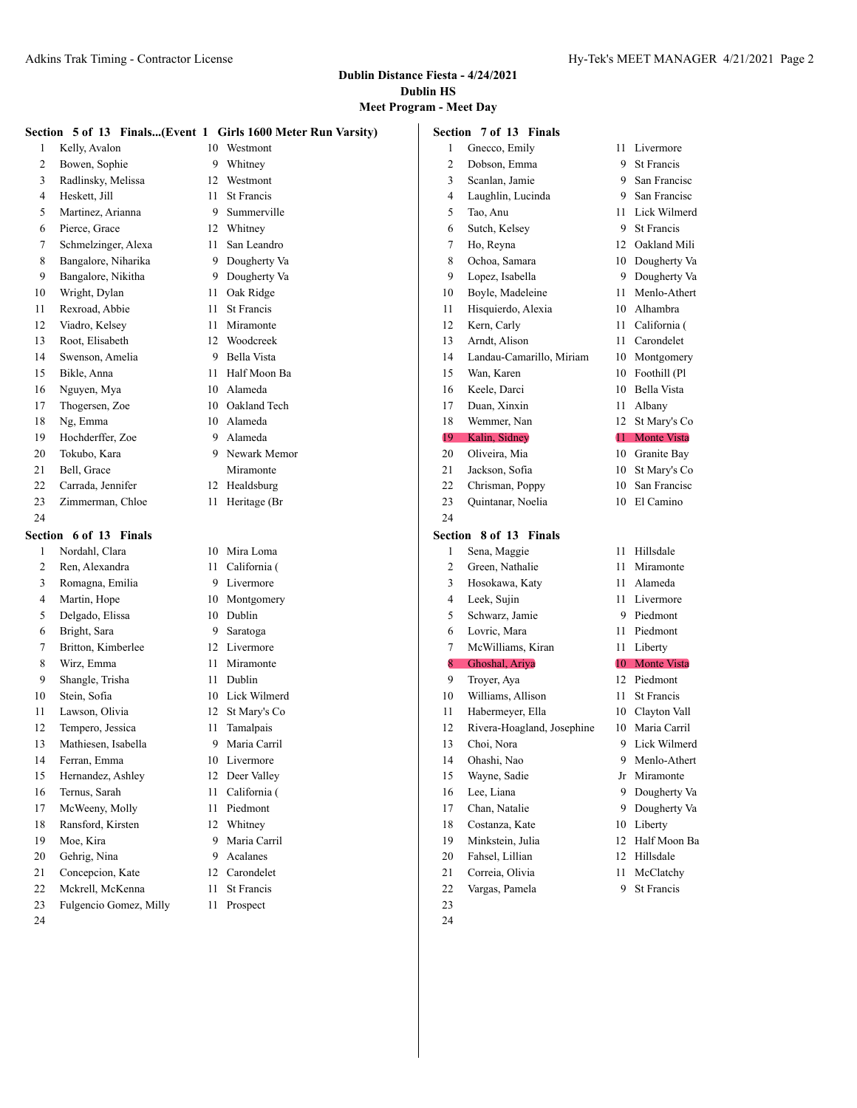|          |                        |    | Section 5 of 13 Finals(Event 1 Girls 1600 Meter Run Varsity) |                | Section 7 of 13 Finals     |    |                    |
|----------|------------------------|----|--------------------------------------------------------------|----------------|----------------------------|----|--------------------|
| 1        | Kelly, Avalon          | 10 | Westmont                                                     | 1              | Gnecco, Emily              | 11 | Livermore          |
| 2        | Bowen, Sophie          | 9  | Whitney                                                      | $\overline{c}$ | Dobson, Emma               | 9  | <b>St Francis</b>  |
| 3        | Radlinsky, Melissa     | 12 | Westmont                                                     | 3              | Scanlan, Jamie             | 9  | San Francisc       |
| 4        | Heskett, Jill          | 11 | St Francis                                                   | 4              | Laughlin, Lucinda          | 9  | San Francisc       |
| 5        | Martinez, Arianna      | 9  | Summerville                                                  | 5              | Tao, Anu                   | 11 | Lick Wilmerd       |
| 6        | Pierce, Grace          | 12 | Whitney                                                      | 6              | Sutch, Kelsey              | 9  | St Francis         |
| 7        | Schmelzinger, Alexa    | 11 | San Leandro                                                  | 7              | Ho, Reyna                  | 12 | Oakland Mili       |
| 8        | Bangalore, Niharika    | 9  | Dougherty Va                                                 | 8              | Ochoa, Samara              | 10 | Dougherty Va       |
| 9        | Bangalore, Nikitha     | 9  | Dougherty Va                                                 | 9              | Lopez, Isabella            | 9  | Dougherty Va       |
| 10       | Wright, Dylan          | 11 | Oak Ridge                                                    | 10             | Boyle, Madeleine           | 11 | Menlo-Athert       |
| 11       | Rexroad, Abbie         | 11 | St Francis                                                   | 11             | Hisquierdo, Alexia         | 10 | Alhambra           |
| 12       | Viadro, Kelsey         | 11 | Miramonte                                                    | 12             | Kern, Carly                | 11 | California (       |
| 13       | Root, Elisabeth        | 12 | Woodcreek                                                    | 13             | Arndt, Alison              | 11 | Carondelet         |
| 14       | Swenson, Amelia        | 9  | Bella Vista                                                  | 14             | Landau-Camarillo, Miriam   | 10 | Montgomery         |
| 15       | Bikle, Anna            | 11 | Half Moon Ba                                                 | 15             | Wan, Karen                 | 10 | Foothill (Pl       |
| 16       | Nguyen, Mya            | 10 | Alameda                                                      | 16             | Keele, Darci               | 10 | Bella Vista        |
| 17       | Thogersen, Zoe         | 10 | Oakland Tech                                                 | 17             | Duan, Xinxin               | 11 | Albany             |
| 18       | Ng, Emma               | 10 | Alameda                                                      | 18             | Wemmer, Nan                | 12 | St Mary's Co       |
| 19       | Hochderffer, Zoe       | 9  | Alameda                                                      | 19             | Kalin, Sidney              | 11 | <b>Monte Vista</b> |
| 20       | Tokubo, Kara           | 9  | Newark Memor                                                 | 20             | Oliveira, Mia              | 10 | Granite Bay        |
| 21       | Bell, Grace            |    | Miramonte                                                    | 21             | Jackson, Sofia             | 10 | St Mary's Co       |
| 22       | Carrada, Jennifer      |    | 12 Healdsburg                                                | 22             | Chrisman, Poppy            | 10 | San Francisc       |
| 23       | Zimmerman, Chloe       |    | 11 Heritage (Br                                              | 23             | Quintanar, Noelia          | 10 | El Camino          |
| 24       |                        |    |                                                              | 24             |                            |    |                    |
|          |                        |    |                                                              |                |                            |    |                    |
|          |                        |    |                                                              |                |                            |    |                    |
|          | Section 6 of 13 Finals |    |                                                              |                | Section 8 of 13 Finals     |    |                    |
| 1        | Nordahl, Clara         | 10 | Mira Loma                                                    | 1              | Sena, Maggie               | 11 | Hillsdale          |
| 2        | Ren, Alexandra         | 11 | California (                                                 | $\overline{c}$ | Green, Nathalie            | 11 | Miramonte          |
| 3        | Romagna, Emilia        | 9  | Livermore                                                    | 3              | Hosokawa, Katy             | 11 | Alameda            |
| 4        | Martin, Hope           | 10 | Montgomery                                                   | 4              | Leek, Sujin                | 11 | Livermore          |
| 5        | Delgado, Elissa        | 10 | Dublin                                                       | 5              | Schwarz, Jamie             | 9  | Piedmont           |
| 6        | Bright, Sara           | 9  | Saratoga                                                     | 6              | Lovric, Mara               | 11 | Piedmont           |
| 7        | Britton, Kimberlee     | 12 | Livermore                                                    | 7              | McWilliams, Kiran          | 11 | Liberty            |
| 8        | Wirz, Emma             | 11 | Miramonte                                                    | 8              | Ghoshal, Ariya             | 10 | <b>Monte Vista</b> |
| 9        | Shangle, Trisha        | 11 | Dublin                                                       | 9              | Troyer, Aya                | 12 | Piedmont           |
| 10       | Stein, Sofia           | 10 | Lick Wilmerd                                                 | 10             | Williams, Allison          | 11 | St Francis         |
| 11       | Lawson, Olivia         | 12 | St Mary's Co                                                 | 11             | Habermeyer, Ella           | 10 | Clayton Vall       |
| 12       | Tempero, Jessica       | 11 | Tamalpais                                                    | 12             | Rivera-Hoagland, Josephine | 10 | Maria Carril       |
| 13       | Mathiesen, Isabella    | 9  | Maria Carril                                                 | 13             | Choi, Nora                 | 9  | Lick Wilmerd       |
| 14       | Ferran, Emma           | 10 | Livermore                                                    | 14             | Ohashi, Nao                | 9  | Menlo-Athert       |
| 15       | Hernandez, Ashley      | 12 | Deer Valley                                                  | 15             | Wayne, Sadie               |    | Jr Miramonte       |
| 16       | Ternus, Sarah          | 11 | California (                                                 | 16             | Lee, Liana                 | 9  | Dougherty Va       |
| 17       | McWeeny, Molly         |    | 11 Piedmont                                                  | 17             | Chan, Natalie              | 9  | Dougherty Va       |
| 18       | Ransford, Kirsten      |    | 12 Whitney                                                   | 18             | Costanza, Kate             | 10 | Liberty            |
| 19       | Moe, Kira              | 9  | Maria Carril                                                 | 19             | Minkstein, Julia           | 12 | Half Moon Ba       |
| 20       | Gehrig, Nina           | 9  | Acalanes                                                     | 20             | Fahsel, Lillian            | 12 | Hillsdale          |
| 21       | Concepcion, Kate       | 12 | Carondelet                                                   | 21             | Correia, Olivia            | 11 | McClatchy          |
| 22       | Mckrell, McKenna       | 11 | St Francis                                                   | 22             | Vargas, Pamela             | 9  | St Francis         |
| 23<br>24 | Fulgencio Gomez, Milly | 11 | Prospect                                                     | 23<br>24       |                            |    |                    |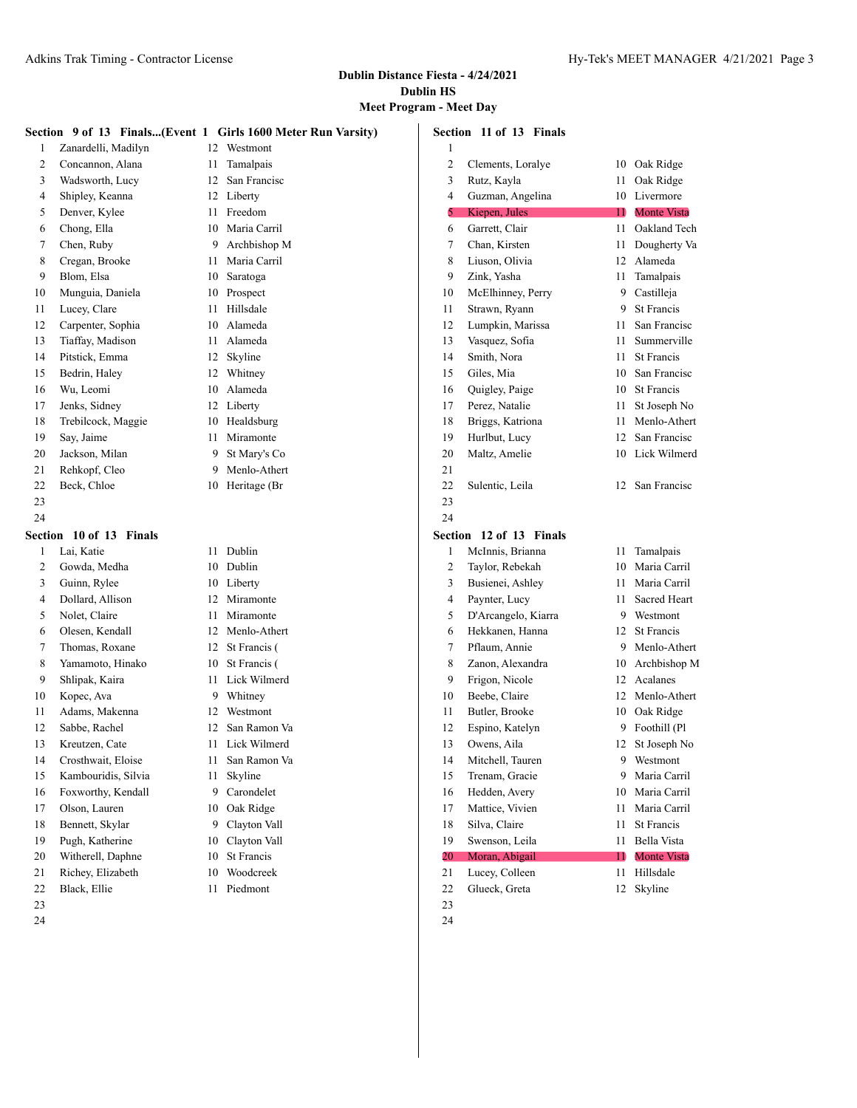|    |                         |     | Section 9 of 13 Finals(Event 1 Girls 1600 Meter Run Varsity) |        | Section 11 of 13 Finals |    |                    |
|----|-------------------------|-----|--------------------------------------------------------------|--------|-------------------------|----|--------------------|
| 1  | Zanardelli, Madilyn     |     | 12 Westmont                                                  | 1      |                         |    |                    |
| 2  | Concannon, Alana        | 11  | Tamalpais                                                    | 2      | Clements, Loralye       |    | 10 Oak Ridge       |
| 3  | Wadsworth, Lucy         | 12  | San Francisc                                                 | 3      | Rutz, Kayla             | 11 | Oak Ridge          |
| 4  | Shipley, Keanna         |     | 12 Liberty                                                   | 4      | Guzman, Angelina        | 10 | Livermore          |
| 5  | Denver, Kylee           | 11  | Freedom                                                      | 5      | Kiepen, Jules           | 11 | <b>Monte Vista</b> |
| 6  | Chong, Ella             | 10  | Maria Carril                                                 | 6      | Garrett, Clair          | 11 | Oakland Tech       |
| 7  | Chen, Ruby              | 9   | Archbishop M                                                 | 7      | Chan, Kirsten           | 11 | Dougherty Va       |
| 8  | Cregan, Brooke          | 11  | Maria Carril                                                 | 8      | Liuson, Olivia          | 12 | Alameda            |
| 9  | Blom, Elsa              | 10  | Saratoga                                                     | 9      | Zink, Yasha             | 11 | Tamalpais          |
| 10 | Munguia, Daniela        | 10  | Prospect                                                     | 10     | McElhinney, Perry       | 9  | Castilleja         |
| 11 | Lucey, Clare            | 11  | Hillsdale                                                    | 11     | Strawn, Ryann           | 9  | St Francis         |
| 12 | Carpenter, Sophia       | 10  | Alameda                                                      | 12     | Lumpkin, Marissa        | 11 | San Francisc       |
| 13 | Tiaffay, Madison        | 11  | Alameda                                                      | 13     | Vasquez, Sofia          | 11 | Summerville        |
| 14 | Pitstick, Emma          | 12  | Skyline                                                      | 14     | Smith, Nora             | 11 | <b>St Francis</b>  |
| 15 | Bedrin, Haley           | 12  | Whitney                                                      | 15     | Giles, Mia              | 10 | San Francisc       |
| 16 | Wu, Leomi               | 10  | Alameda                                                      | 16     | Quigley, Paige          | 10 | St Francis         |
| 17 | Jenks, Sidney           |     | 12 Liberty                                                   | 17     | Perez, Natalie          | 11 | St Joseph No       |
| 18 | Trebilcock, Maggie      | 10  | Healdsburg                                                   | 18     | Briggs, Katriona        | 11 | Menlo-Athert       |
| 19 | Say, Jaime              | 11  | Miramonte                                                    | 19     | Hurlbut, Lucy           | 12 | San Francisc       |
| 20 | Jackson, Milan          | 9   | St Mary's Co                                                 | 20     | Maltz, Amelie           | 10 | Lick Wilmerd       |
| 21 | Rehkopf, Cleo           | 9   | Menlo-Athert                                                 | 21     |                         |    |                    |
| 22 | Beck, Chloe             |     | 10 Heritage (Br                                              | 22     | Sulentic, Leila         |    | 12 San Francisc    |
| 23 |                         |     |                                                              | 23     |                         |    |                    |
| 24 |                         |     |                                                              | 24     |                         |    |                    |
|    | Section 10 of 13 Finals |     |                                                              |        | Section 12 of 13 Finals |    |                    |
| 1  | Lai, Katie              |     | 11 Dublin                                                    | 1      | McInnis, Brianna        |    | 11 Tamalpais       |
| 2  | Gowda, Medha            |     | 10 Dublin                                                    | 2      | Taylor, Rebekah         | 10 | Maria Carril       |
| 3  | Guinn, Rylee            |     | 10 Liberty                                                   | 3      | Busienei, Ashley        | 11 | Maria Carril       |
| 4  | Dollard, Allison        | 12  | Miramonte                                                    | 4      | Paynter, Lucy           | 11 | Sacred Heart       |
| 5  | Nolet, Claire           | 11  | Miramonte                                                    | 5      | D'Arcangelo, Kiarra     | 9  | Westmont           |
| 6  | Olesen, Kendall         | 12  | Menlo-Athert                                                 | 6      | Hekkanen, Hanna         | 12 | <b>St Francis</b>  |
| 7  | Thomas, Roxane          | 12  | St Francis (                                                 | 7      | Pflaum, Annie           | 9  | Menlo-Athert       |
| 8  | Yamamoto, Hinako        | 10  | St Francis (                                                 | 8      | Zanon, Alexandra        | 10 | Archbishop M       |
| 9  | Shlipak, Kaira          | 11  | Lick Wilmerd                                                 | 9      | Frigon, Nicole          | 12 | Acalanes           |
| 10 | Kopec, Ava              | 9   | Whitney                                                      | 10     | Beebe, Claire           | 12 | Menlo-Athert       |
| 11 | Adams, Makenna          | 12  | Westmont                                                     | 11     | Butler, Brooke          | 10 | Oak Ridge          |
| 12 | Sabbe, Rachel           | 12  | San Ramon Va                                                 | 12     | Espino, Katelyn         |    | 9 Foothill (Pl     |
| 13 | Kreutzen, Cate          | 11  | Lick Wilmerd                                                 | 13     | Owens, Aila             | 12 | St Joseph No       |
| 14 | Crosthwait, Eloise      | 11. | San Ramon Va                                                 | 14     | Mitchell, Tauren        |    | 9 Westmont         |
| 15 | Kambouridis, Silvia     | 11  | Skyline                                                      | 15     | Trenam, Gracie          |    | 9 Maria Carril     |
| 16 | Foxworthy, Kendall      | 9.  | Carondelet                                                   | 16     | Hedden, Avery           | 10 | Maria Carril       |
| 17 | Olson, Lauren           | 10  | Oak Ridge                                                    | 17     | Mattice, Vivien         | 11 | Maria Carril       |
| 18 | Bennett, Skylar         | 9   | Clayton Vall                                                 | 18     | Silva, Claire           | 11 | St Francis         |
| 19 | Pugh, Katherine         | 10  | Clayton Vall                                                 | 19     | Swenson, Leila          | 11 | Bella Vista        |
| 20 | Witherell, Daphne       | 10  | St Francis                                                   | $20\,$ | Moran, Abigail          | 11 | <b>Monte Vista</b> |
| 21 | Richey, Elizabeth       | 10  | Woodcreek                                                    | 21     | Lucey, Colleen          | 11 | Hillsdale          |
| 22 | Black, Ellie            | 11  | Piedmont                                                     | 22     | Glueck, Greta           |    | 12 Skyline         |
| 23 |                         |     |                                                              | 23     |                         |    |                    |
| 24 |                         |     |                                                              | 24     |                         |    |                    |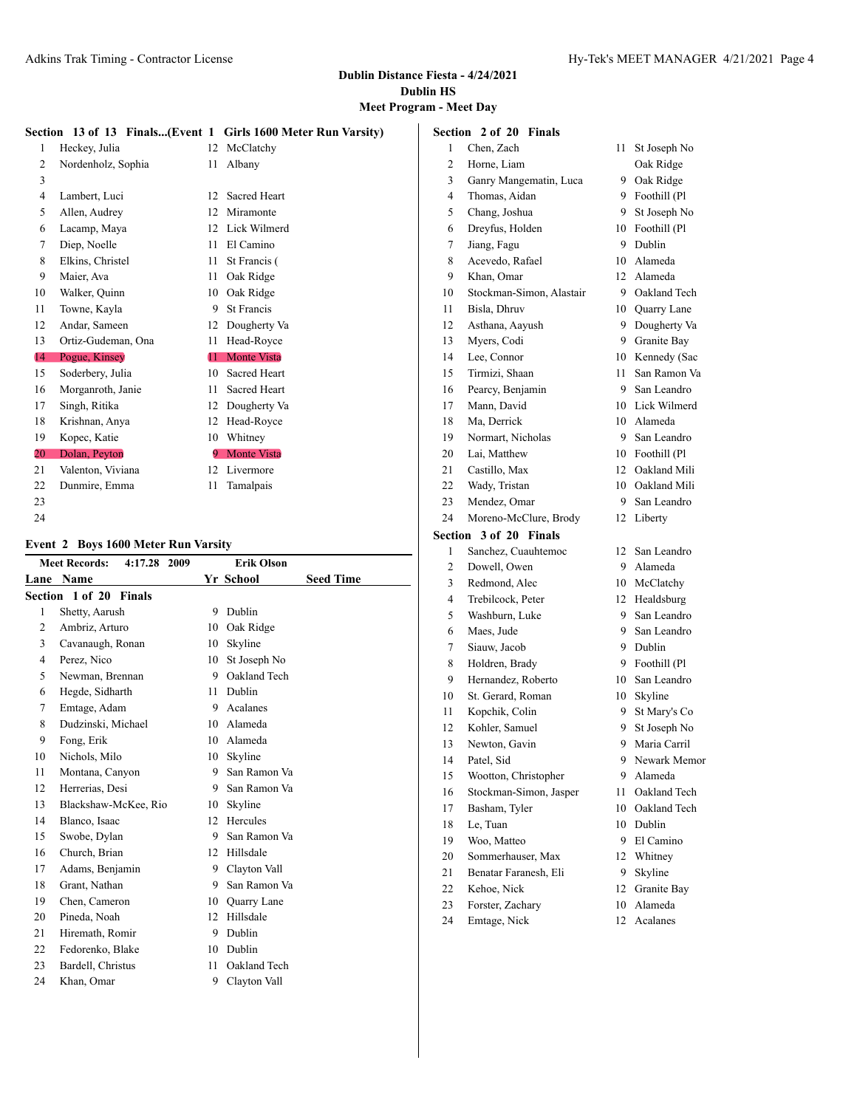# **Meet Program - Meet Day**

|                 |                    |       | Section 13 of 13 Finals(Event 1 Girls 1600 Meter Run Varsity) |
|-----------------|--------------------|-------|---------------------------------------------------------------|
| 1               | Heckey, Julia      | 12    | McClatchy                                                     |
| $\overline{c}$  | Nordenholz, Sophia | 11    | Albany                                                        |
| 3               |                    |       |                                                               |
| 4               | Lambert, Luci      | 12    | Sacred Heart                                                  |
| 5               | Allen, Audrey      | 12    | Miramonte                                                     |
| 6               | Lacamp, Maya       | 12    | Lick Wilmerd                                                  |
| 7               | Diep, Noelle       | 11    | El Camino                                                     |
| 8               | Elkins, Christel   | 11    | St Francis (                                                  |
| 9               | Maier, Ava         | 11    | Oak Ridge                                                     |
| 10              | Walker, Quinn      | 10    | Oak Ridge                                                     |
| 11              | Towne, Kayla       | 9     | <b>St Francis</b>                                             |
| 12              | Andar, Sameen      | 12    | Dougherty Va                                                  |
| 13              | Ortiz-Gudeman, Ona | 11    | Head-Royce                                                    |
| $\overline{14}$ | Pogue, Kinsey      | $11-$ | <b>Monte Vista</b>                                            |
| 15              | Soderbery, Julia   | 10    | Sacred Heart                                                  |
| 16              | Morganroth, Janie  | 11    | Sacred Heart                                                  |
| 17              | Singh, Ritika      | 12    | Dougherty Va                                                  |
| 18              | Krishnan, Anya     | 12    | Head-Royce                                                    |
| 19              | Kopec, Katie       | 10    | Whitney                                                       |
| 20              | Dolan, Peyton      | 9.    | <b>Monte Vista</b>                                            |
| 21              | Valenton, Viviana  | 12    | Livermore                                                     |
| 22              | Dunmire, Emma      | 11    | Tamalpais                                                     |
| 23              |                    |       |                                                               |
| 24              |                    |       |                                                               |

#### **Event 2 Boys 1600 Meter Run Varsity**

|    | <b>Meet Records:</b><br>4:17.28 2009 |    | <b>Erik Olson</b> |                  |
|----|--------------------------------------|----|-------------------|------------------|
|    | Lane Name                            |    | Yr School         | <b>Seed Time</b> |
|    | Section 1 of 20 Finals               |    |                   |                  |
| 1  | Shetty, Aarush                       | 9  | Dublin            |                  |
| 2  | Ambriz, Arturo                       | 10 | Oak Ridge         |                  |
| 3  | Cavanaugh, Ronan                     | 10 | Skyline           |                  |
| 4  | Perez, Nico                          | 10 | St Joseph No      |                  |
| 5  | Newman, Brennan                      | 9  | Oakland Tech      |                  |
| 6  | Hegde, Sidharth                      | 11 | Dublin            |                  |
| 7  | Emtage, Adam                         | 9  | Acalanes          |                  |
| 8  | Dudzinski, Michael                   | 10 | Alameda           |                  |
| 9  | Fong, Erik                           | 10 | Alameda           |                  |
| 10 | Nichols, Milo                        | 10 | Skyline           |                  |
| 11 | Montana, Canyon                      | 9. | San Ramon Va      |                  |
| 12 | Herrerias, Desi                      | 9  | San Ramon Va      |                  |
| 13 | Blackshaw-McKee, Rio                 | 10 | Skyline           |                  |
| 14 | Blanco, Isaac                        | 12 | Hercules          |                  |
| 15 | Swobe, Dylan                         | 9  | San Ramon Va      |                  |
| 16 | Church, Brian                        | 12 | Hillsdale         |                  |
| 17 | Adams, Benjamin                      | 9  | Clayton Vall      |                  |
| 18 | Grant, Nathan                        | 9  | San Ramon Va      |                  |
| 19 | Chen, Cameron                        | 10 | Quarry Lane       |                  |
| 20 | Pineda, Noah                         | 12 | Hillsdale         |                  |
| 21 | Hiremath, Romir                      | 9  | Dublin            |                  |
| 22 | Fedorenko, Blake                     | 10 | Dublin            |                  |
| 23 | Bardell, Christus                    | 11 | Oakland Tech      |                  |
| 24 | Khan, Omar                           | 9  | Clayton Vall      |                  |
|    |                                      |    |                   |                  |

|                | <b>Section 2 of 20 Finals</b> |      |                 |
|----------------|-------------------------------|------|-----------------|
| 1              | Chen, Zach                    | 11 - | St Joseph No    |
| $\overline{c}$ | Horne, Liam                   |      | Oak Ridge       |
| 3              | Ganry Mangematin, Luca        | 9    | Oak Ridge       |
| 4              | Thomas, Aidan                 | 9.   | Foothill (Pl    |
| 5              | Chang, Joshua                 | 9.   | St Joseph No    |
| 6              | Dreyfus, Holden               | 10   | Foothill (Pl    |
| 7              | Jiang, Fagu                   | 9.   | Dublin          |
| 8              | Acevedo, Rafael               | 10-  | Alameda         |
| 9              | Khan, Omar                    | 12   | Alameda         |
| 10             | Stockman-Simon, Alastair      | 9.   | Oakland Tech    |
| 11             | Bisla, Dhruv                  | 10   | Quarry Lane     |
| 12             | Asthana, Aayush               | 9    | Dougherty Va    |
| 13             | Myers, Codi                   | 9    | Granite Bay     |
| 14             | Lee, Connor                   | 10   | Kennedy (Sac    |
| 15             | Tirmizi, Shaan                | 11.  | San Ramon Va    |
| 16             | Pearcy, Benjamin              | 9.   | San Leandro     |
| 17             | Mann, David                   |      | 10 Lick Wilmerd |
| 18             | Ma, Derrick                   |      | 10 Alameda      |
| 19             | Normart, Nicholas             | 9.   | San Leandro     |
| 20             | Lai, Matthew                  | 10   | Foothill (Pl    |
| 21             | Castillo, Max                 | 12   | Oakland Mili    |
| 22             | Wady, Tristan                 |      | 10 Oakland Mili |
| 23             | Mendez, Omar                  | 9.   | San Leandro     |
| 24             | Moreno-McClure, Brody         | 12   | Liberty         |
| Section        | 3 of 20 Finals                |      |                 |
| 1              | Sanchez, Cuauhtemoc           | 12   | San Leandro     |
| $\overline{c}$ | Dowell, Owen                  | 9.   | Alameda         |
| 3              | Redmond, Alec                 | 10   | McClatchy       |
| 4              | Trebilcock, Peter             | 12   | Healdsburg      |
| 5              | Washburn, Luke                | 9    | San Leandro     |
| 6              | Maes, Jude                    | 9    | San Leandro     |
| 7              | Siauw, Jacob                  | 9    | Dublin          |
| 8              | Holdren, Brady                | 9    | Foothill (Pl    |
| 9              | Hernandez, Roberto            | 10   | San Leandro     |
| 10             | St. Gerard, Roman             | 10   | Skyline         |
| 11             | Kopchik, Colin                | 9.   | St Mary's Co    |
| 12             | Kohler, Samuel                | 9    | St Joseph No    |
| 13             | Newton, Gavin                 |      | 9 Maria Carril  |
| 14             | Patel, Sid                    | 9    | Newark Memor    |
| 15             | Wootton, Christopher          | 9    | Alameda         |
| 16             | Stockman-Simon, Jasper        | 11   | Oakland Tech    |
| 17             | Basham, Tyler                 | 10   | Oakland Tech    |
| 18             | Le, Tuan                      | 10   | Dublin          |
| 19             | Woo, Matteo                   | 9.   | El Camino       |
| 20             | Sommerhauser, Max             | 12   | Whitney         |
| 21             | Benatar Faranesh, Eli         | 9.   | Skyline         |
| 22             | Kehoe, Nick                   | 12   | Granite Bay     |
| 23             | Forster, Zachary              | 10   | Alameda         |
| 24             | Emtage, Nick                  | 12   | Acalanes        |
|                |                               |      |                 |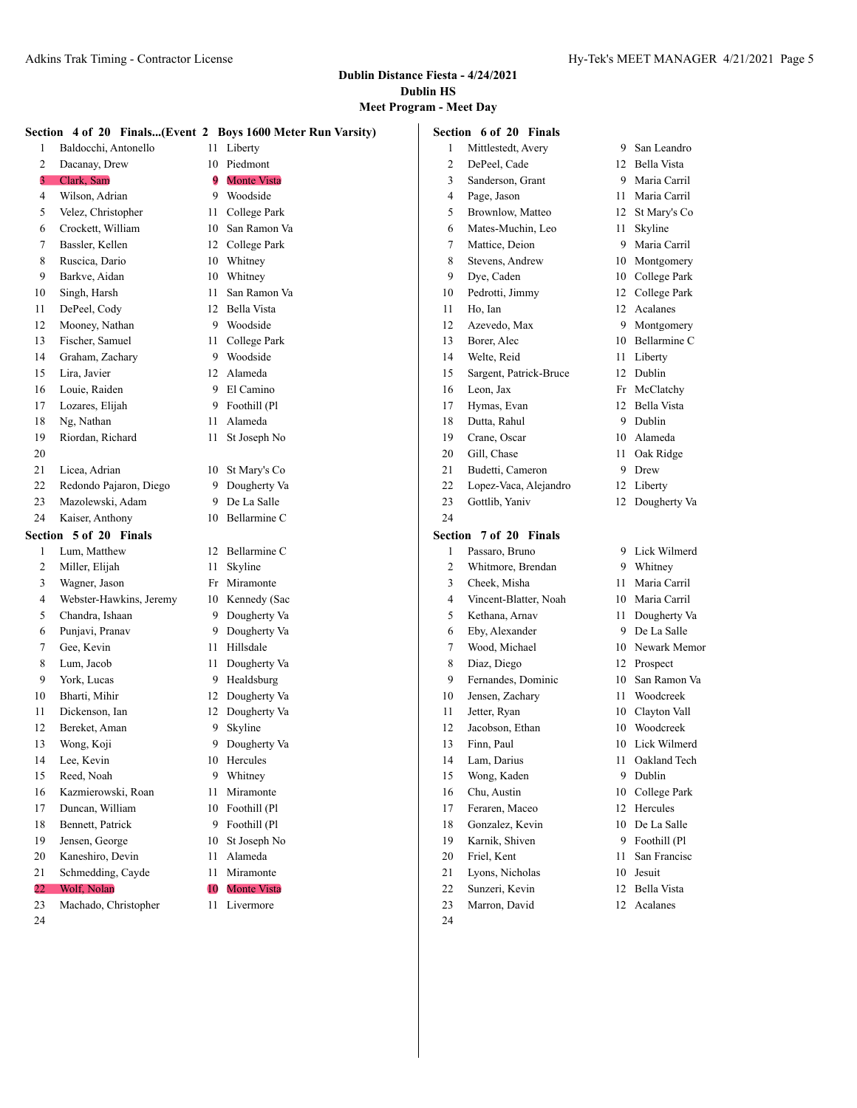#### **Meet Program - Meet Day**  $\overline{1}$

|    | Section 4 of 20 Finals(Event 2 Boys 1600 Meter Run Varsity) |    |                    |    | Section 6 of 20 Finals |    |                 |
|----|-------------------------------------------------------------|----|--------------------|----|------------------------|----|-----------------|
| 1  | Baldocchi, Antonello                                        |    | 11 Liberty         | 1  | Mittlestedt, Avery     | 9. | San Leandro     |
| 2  | Dacanay, Drew                                               | 10 | Piedmont           | 2  | DePeel, Cade           | 12 | Bella Vista     |
| 3  | Clark, Sam                                                  | 9  | <b>Monte Vista</b> | 3  | Sanderson, Grant       | 9  | Maria Carril    |
| 4  | Wilson, Adrian                                              | 9  | Woodside           | 4  | Page, Jason            | 11 | Maria Carril    |
| 5  | Velez, Christopher                                          | 11 | College Park       | 5  | Brownlow, Matteo       | 12 | St Mary's Co    |
| 6  | Crockett, William                                           | 10 | San Ramon Va       | 6  | Mates-Muchin, Leo      | 11 | Skyline         |
| 7  | Bassler, Kellen                                             | 12 | College Park       | 7  | Mattice, Deion         | 9  | Maria Carril    |
| 8  | Ruscica, Dario                                              | 10 | Whitney            | 8  | Stevens, Andrew        | 10 | Montgomery      |
| 9  | Barkve, Aidan                                               | 10 | Whitney            | 9  | Dye, Caden             | 10 | College Park    |
| 10 | Singh, Harsh                                                | 11 | San Ramon Va       | 10 | Pedrotti, Jimmy        | 12 | College Park    |
| 11 | DePeel, Cody                                                | 12 | <b>Bella Vista</b> | 11 | Ho, Ian                | 12 | Acalanes        |
| 12 | Mooney, Nathan                                              | 9  | Woodside           | 12 | Azevedo, Max           | 9  | Montgomery      |
| 13 | Fischer, Samuel                                             | 11 | College Park       | 13 | Borer, Alec            | 10 | Bellarmine C    |
| 14 | Graham, Zachary                                             | 9  | Woodside           | 14 | Welte, Reid            | 11 | Liberty         |
| 15 | Lira, Javier                                                |    | 12 Alameda         | 15 | Sargent, Patrick-Bruce | 12 | Dublin          |
| 16 | Louie, Raiden                                               | 9  | El Camino          | 16 | Leon, Jax              | Fr | McClatchy       |
| 17 | Lozares, Elijah                                             | 9  | Foothill (Pl       | 17 | Hymas, Evan            | 12 | Bella Vista     |
| 18 | Ng, Nathan                                                  | 11 | Alameda            | 18 | Dutta, Rahul           | 9  | Dublin          |
| 19 | Riordan, Richard                                            | 11 | St Joseph No       | 19 | Crane, Oscar           | 10 | Alameda         |
| 20 |                                                             |    |                    | 20 | Gill, Chase            | 11 | Oak Ridge       |
| 21 | Licea, Adrian                                               | 10 | St Mary's Co       | 21 | Budetti, Cameron       | 9  | Drew            |
| 22 | Redondo Pajaron, Diego                                      | 9  | Dougherty Va       | 22 | Lopez-Vaca, Alejandro  | 12 | Liberty         |
| 23 | Mazolewski, Adam                                            | 9  | De La Salle        | 23 | Gottlib, Yaniv         | 12 | Dougherty Va    |
| 24 | Kaiser, Anthony                                             | 10 | Bellarmine C       | 24 |                        |    |                 |
|    |                                                             |    |                    |    |                        |    |                 |
|    | Section 5 of 20 Finals                                      |    |                    |    | Section 7 of 20 Finals |    |                 |
| 1  | Lum, Matthew                                                |    | 12 Bellarmine C    | 1  | Passaro, Bruno         |    | 9 Lick Wilmerd  |
| 2  | Miller, Elijah                                              | 11 | Skyline            | 2  | Whitmore, Brendan      | 9  | Whitney         |
| 3  | Wagner, Jason                                               |    | Fr Miramonte       | 3  | Cheek, Misha           | 11 | Maria Carril    |
| 4  | Webster-Hawkins, Jeremy                                     | 10 | Kennedy (Sac       | 4  | Vincent-Blatter, Noah  | 10 | Maria Carril    |
| 5  | Chandra, Ishaan                                             | 9  | Dougherty Va       | 5  | Kethana, Arnav         | 11 | Dougherty Va    |
| 6  | Punjavi, Pranav                                             | 9  | Dougherty Va       | 6  | Eby, Alexander         | 9  | De La Salle     |
| 7  | Gee, Kevin                                                  | 11 | Hillsdale          | 7  | Wood, Michael          | 10 | Newark Memor    |
| 8  | Lum, Jacob                                                  | 11 | Dougherty Va       | 8  | Diaz, Diego            | 12 | Prospect        |
| 9  | York, Lucas                                                 | 9  | Healdsburg         | 9  | Fernandes, Dominic     | 10 | San Ramon Va    |
| 10 | Bharti, Mihir                                               | 12 | Dougherty Va       | 10 | Jensen, Zachary        | 11 | Woodcreek       |
| 11 | Dickenson, Ian                                              | 12 | Dougherty Va       | 11 | Jetter, Ryan           | 10 | Clayton Vall    |
| 12 | Bereket, Aman                                               | 9  | Skyline            | 12 | Jacobson, Ethan        | 10 | Woodcreek       |
| 13 | Wong, Koji                                                  | 9  | Dougherty Va       | 13 | Finn, Paul             |    | 10 Lick Wilmerd |
| 14 | Lee, Kevin                                                  |    | 10 Hercules        | 14 | Lam, Darius            | 11 | Oakland Tech    |
| 15 | Reed, Noah                                                  | 9  | Whitney            | 15 | Wong, Kaden            | 9  | Dublin          |
| 16 | Kazmierowski, Roan                                          | 11 | Miramonte          | 16 | Chu, Austin            | 10 | College Park    |
| 17 | Duncan, William                                             | 10 | Foothill (Pl       | 17 | Feraren, Maceo         | 12 | Hercules        |
| 18 | Bennett, Patrick                                            | 9  | Foothill (Pl       | 18 | Gonzalez, Kevin        | 10 | De La Salle     |
| 19 | Jensen, George                                              | 10 | St Joseph No       | 19 | Karnik, Shiven         | 9  | Foothill (Pl    |
| 20 | Kaneshiro, Devin                                            | 11 | Alameda            | 20 | Friel, Kent            | 11 | San Francisc    |
| 21 | Schmedding, Cayde                                           | 11 | Miramonte          | 21 | Lyons, Nicholas        | 10 | Jesuit          |
| 22 | Wolf, Nolan                                                 | 10 | <b>Monte Vista</b> | 22 | Sunzeri, Kevin         | 12 | Bella Vista     |
| 23 | Machado, Christopher                                        | 11 | Livermore          | 23 | Marron, David          | 12 | Acalanes        |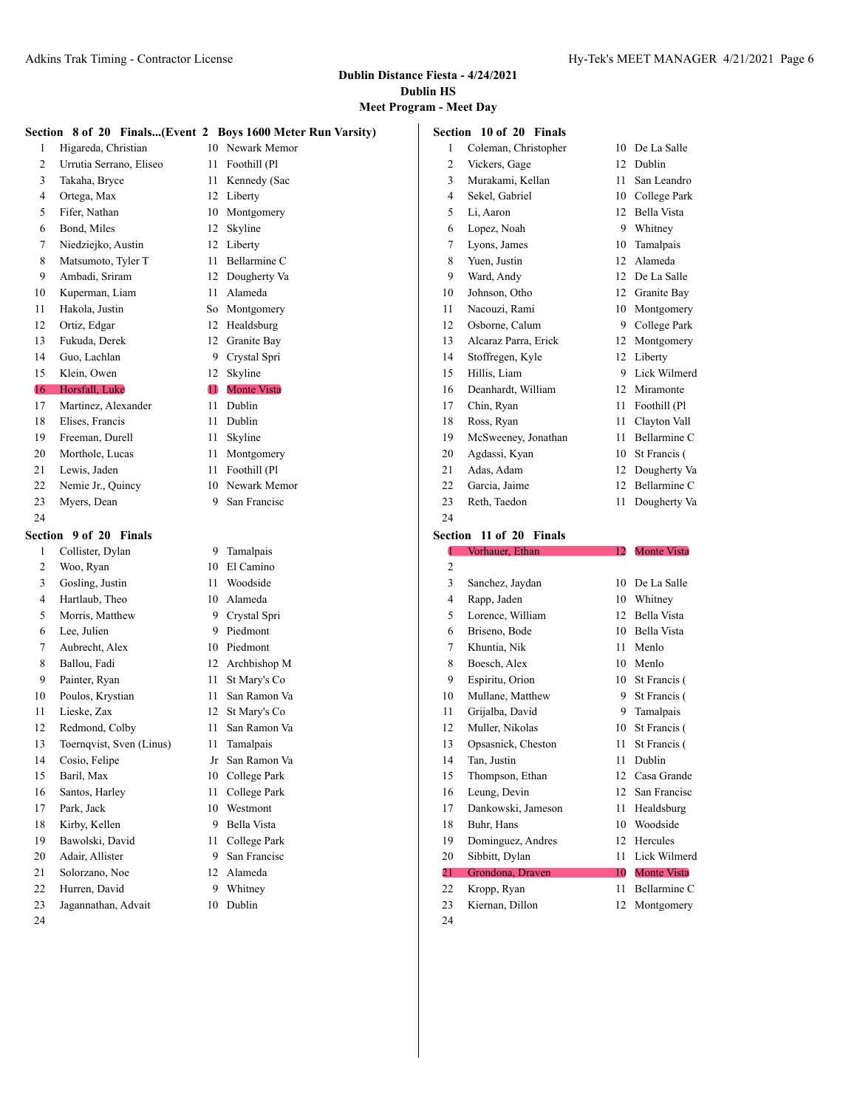# **Meet Program - Meet Day**

|               |                          |              | Section 8 of 20 Finals(Event 2 Boys 1600 Meter Run Varsity) |    | Section 10 of 20 Finals            |    |                    |
|---------------|--------------------------|--------------|-------------------------------------------------------------|----|------------------------------------|----|--------------------|
| 1             | Higareda, Christian      |              | 10 Newark Memor                                             | 1  | Coleman, Christopher               | 10 | De La Salle        |
| 2             | Urrutia Serrano, Eliseo  | 11           | Foothill (Pl                                                | 2  | Vickers, Gage                      | 12 | Dublin             |
| 3             | Takaha, Bryce            | 11           | Kennedy (Sac                                                | 3  | Murakami, Kellan                   | 11 | San Leandro        |
| 4             | Ortega, Max              | 12           | Liberty                                                     | 4  | Sekel, Gabriel                     | 10 | College Park       |
| 5             | Fifer, Nathan            | 10           | Montgomery                                                  | 5  | Li, Aaron                          | 12 | Bella Vista        |
| 6             | Bond, Miles              | 12           | Skyline                                                     | 6  | Lopez, Noah                        | 9  | Whitney            |
| 7             | Niedziejko, Austin       | 12           | Liberty                                                     | 7  | Lyons, James                       | 10 | Tamalpais          |
| 8             | Matsumoto, Tyler T       | 11           | Bellarmine C                                                | 8  | Yuen, Justin                       | 12 | Alameda            |
| 9             | Ambadi, Sriram           | 12           | Dougherty Va                                                | 9  | Ward, Andy                         | 12 | De La Salle        |
| 10            | Kuperman, Liam           | 11           | Alameda                                                     | 10 | Johnson, Otho                      | 12 | Granite Bay        |
| 11            | Hakola, Justin           | So           | Montgomery                                                  | 11 | Nacouzi, Rami                      | 10 | Montgomery         |
| 12            | Ortiz, Edgar             | 12           | Healdsburg                                                  | 12 | Osborne, Calum                     | 9  | College Park       |
| 13            | Fukuda, Derek            | 12           | Granite Bay                                                 | 13 | Alcaraz Parra, Erick               | 12 | Montgomery         |
| 14            | Guo, Lachlan             | 9            | Crystal Spri                                                | 14 | Stoffregen, Kyle                   | 12 | Liberty            |
| 15            | Klein, Owen              | 12           | Skyline                                                     | 15 | Hillis, Liam                       | 9  | Lick Wilmerd       |
| 16            | Horsfall, Luke           | $\mathbf{u}$ | <b>Monte Vista</b>                                          | 16 | Deanhardt, William                 | 12 | Miramonte          |
| 17            | Martinez, Alexander      | 11           | Dublin                                                      | 17 | Chin, Ryan                         | 11 | Foothill (Pl       |
| 18            | Elises, Francis          | 11           | Dublin                                                      | 18 | Ross, Ryan                         | 11 | Clayton Vall       |
| 19            | Freeman, Durell          | 11           | Skyline                                                     | 19 | McSweeney, Jonathan                | 11 | Bellarmine C       |
| 20            | Morthole, Lucas          | 11           | Montgomery                                                  | 20 | Agdassi, Kyan                      | 10 | St Francis (       |
| 21            | Lewis, Jaden             | 11           | Foothill (Pl                                                | 21 | Adas, Adam                         | 12 | Dougherty Va       |
| 22            | Nemie Jr., Quincy        | 10           | Newark Memor                                                | 22 | Garcia, Jaime                      | 12 | Bellarmine C       |
| 23            | Myers, Dean              | 9            | San Francisc                                                | 23 | Reth, Taedon                       | 11 | Dougherty Va       |
|               |                          |              |                                                             |    |                                    |    |                    |
|               |                          |              |                                                             | 24 |                                    |    |                    |
| 24<br>Section | 9 of 20 Finals           |              |                                                             |    | Section 11 of 20 Finals            |    |                    |
| 1             | Collister, Dylan         | 9.           | Tamalpais                                                   | 1  | Vorhauer, Ethan                    | 12 | <b>Monte Vista</b> |
| 2             | Woo, Ryan                | 10           | El Camino                                                   | 2  |                                    |    |                    |
| 3             | Gosling, Justin          | 11           | Woodside                                                    | 3  | Sanchez, Jaydan                    | 10 | De La Salle        |
| 4             | Hartlaub, Theo           | 10           | Alameda                                                     | 4  | Rapp, Jaden                        | 10 | Whitney            |
| 5             | Morris, Matthew          | 9            | Crystal Spri                                                | 5  | Lorence, William                   | 12 | Bella Vista        |
| 6             | Lee, Julien              | 9            | Piedmont                                                    | 6  | Briseno, Bode                      | 10 | Bella Vista        |
| 7             | Aubrecht, Alex           | 10           | Piedmont                                                    | 7  | Khuntia, Nik                       | 11 | Menlo              |
| 8             | Ballou, Fadi             | 12           | Archbishop M                                                | 8  | Boesch, Alex                       | 10 | Menlo              |
| 9             | Painter, Ryan            | 11           | St Mary's Co                                                | 9  | Espiritu, Orion                    | 10 | St Francis (       |
| 10            | Poulos, Krystian         | 11           | San Ramon Va                                                | 10 | Mullane, Matthew                   | 9  | St Francis (       |
| 11            | Lieske, Zax              | 12           | St Mary's Co                                                | 11 | Grijalba, David                    | 9  | Tamalpais          |
| 12            | Redmond, Colby           | 11           | San Ramon Va                                                | 12 | Muller, Nikolas                    | 10 | St Francis (       |
| 13            | Toernqvist, Sven (Linus) | 11           | Tamalpais                                                   | 13 | Opsasnick, Cheston                 |    | 11 St Francis (    |
| 14            | Cosio, Felipe            |              | Jr San Ramon Va                                             | 14 | Tan, Justin                        | 11 | Dublin             |
| 15            | Baril, Max               | 10           | College Park                                                | 15 | Thompson, Ethan                    | 12 | Casa Grande        |
| 16            | Santos, Harley           | 11           | College Park                                                | 16 | Leung, Devin                       | 12 | San Francisc       |
| 17            | Park, Jack               | 10           | Westmont                                                    | 17 | Dankowski, Jameson                 | 11 | Healdsburg         |
| 18            | Kirby, Kellen            | 9            | Bella Vista                                                 | 18 | Buhr, Hans                         | 10 | Woodside           |
| 19            | Bawolski, David          | 11           | College Park                                                | 19 | Dominguez, Andres                  | 12 | Hercules           |
| 20            | Adair, Allister          | 9            | San Francisc                                                | 20 |                                    | 11 | Lick Wilmerd       |
| 21            | Solorzano, Noe           | 12           | Alameda                                                     | 21 | Sibbitt, Dylan<br>Grondona, Draven | 10 | <b>Monte Vista</b> |
| 22            | Hurren, David            |              | 9 Whitney                                                   | 22 | Kropp, Ryan                        | 11 | Bellarmine C       |

- Jagannathan, Advait 10 Dublin
-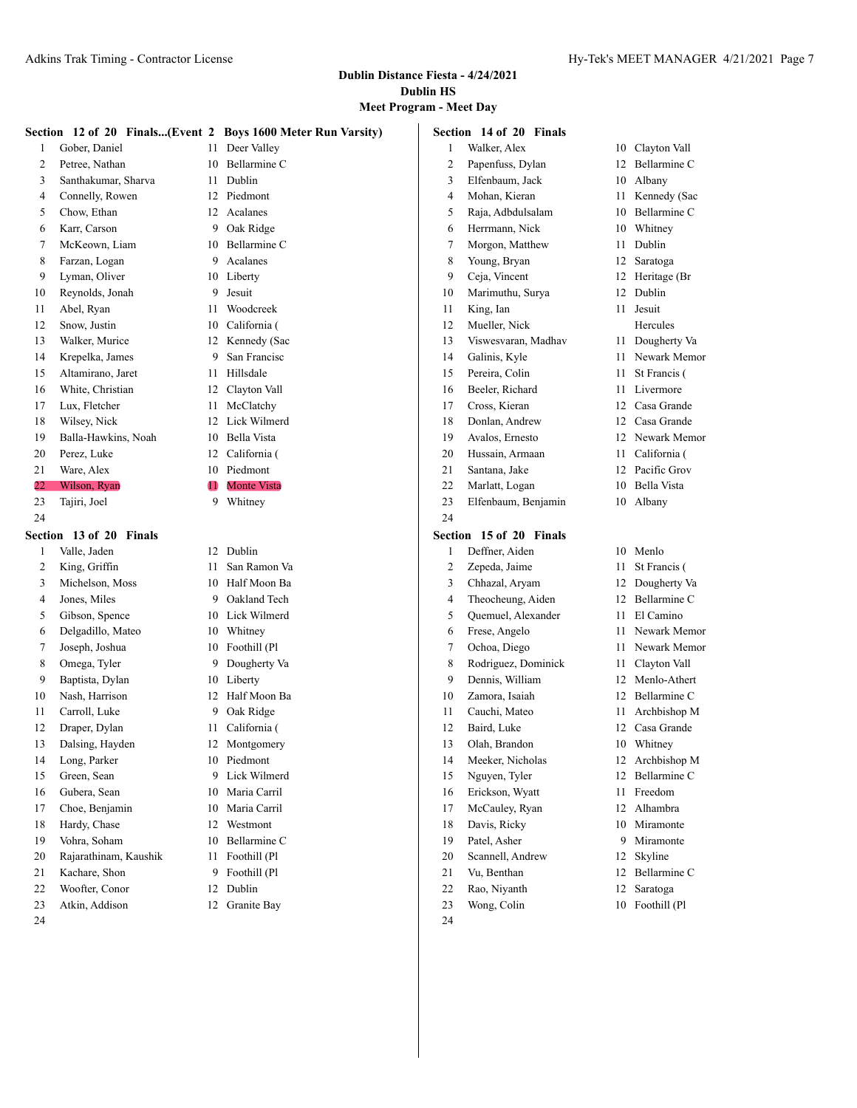### **Meet Program - Meet Day**

|    |                         |    | Section 12 of 20 Finals(Event 2 Boys 1600 Meter Run Varsity) |                | Section 14 of 20 Finals |      |                    |
|----|-------------------------|----|--------------------------------------------------------------|----------------|-------------------------|------|--------------------|
|    | Gober, Daniel           | 11 | Deer Valley                                                  | 1              | Walker, Alex            | 10   | Clayton Vall       |
| 2  | Petree, Nathan          | 10 | Bellarmine C                                                 | 2              | Papenfuss, Dylan        | 12   | Bellarmine C       |
| 3  | Santhakumar, Sharva     | 11 | Dublin                                                       | 3              | Elfenbaum, Jack         | 10   | Albany             |
| 4  | Connelly, Rowen         | 12 | Piedmont                                                     | 4              | Mohan, Kieran           | 11 - | Kennedy (Sac       |
| 5  | Chow, Ethan             | 12 | Acalanes                                                     | 5              | Raja, Adbdulsalam       | 10   | Bellarmine C       |
| 6  | Karr, Carson            | 9  | Oak Ridge                                                    | 6              | Herrmann, Nick          | 10   | Whitney            |
| 7  | McKeown, Liam           | 10 | Bellarmine C                                                 | 7              | Morgon, Matthew         | 11   | Dublin             |
| 8  | Farzan, Logan           | 9  | Acalanes                                                     | 8              | Young, Bryan            | 12   | Saratoga           |
| 9  | Lyman, Oliver           | 10 | Liberty                                                      | 9              | Ceja, Vincent           |      | 12 Heritage (Br    |
| 10 | Reynolds, Jonah         | 9  | Jesuit                                                       | 10             | Marimuthu, Surya        | 12   | Dublin             |
| 11 | Abel, Ryan              | 11 | Woodcreek                                                    | 11             | King, Ian               | 11   | Jesuit             |
| 12 | Snow, Justin            | 10 | California (                                                 | 12             | Mueller, Nick           |      | Hercules           |
| 13 | Walker, Murice          | 12 | Kennedy (Sac                                                 | 13             | Viswesvaran, Madhav     | 11   | Dougherty Va       |
| 14 | Krepelka, James         | 9  | San Francisc                                                 | 14             | Galinis, Kyle           | 11   | Newark Memor       |
| 15 | Altamirano, Jaret       | 11 | Hillsdale                                                    | 15             | Pereira, Colin          | 11   | St Francis (       |
| 16 | White, Christian        | 12 | Clayton Vall                                                 | 16             | Beeler, Richard         |      | 11 Livermore       |
| 17 | Lux, Fletcher           | 11 | McClatchy                                                    | 17             | Cross, Kieran           | 12   | Casa Grande        |
| 18 | Wilsey, Nick            | 12 | Lick Wilmerd                                                 | 18             | Donlan, Andrew          | 12   | Casa Grande        |
| 19 | Balla-Hawkins, Noah     | 10 | Bella Vista                                                  | 19             | Avalos, Ernesto         | 12   | Newark Memor       |
| 20 | Perez, Luke             | 12 | California (                                                 | 20             | Hussain, Armaan         | 11   | California (       |
| 21 | Ware, Alex              | 10 | Piedmont                                                     | 21             | Santana, Jake           |      | 12 Pacific Grov    |
| 22 | Wilson, Ryan            | O  | <b>Monte Vista</b>                                           | 22             | Marlatt, Logan          | 10   | <b>Bella Vista</b> |
| 23 | Tajiri, Joel            | 9  | Whitney                                                      | 23             | Elfenbaum, Benjamin     |      | 10 Albany          |
| 24 |                         |    |                                                              | 24             |                         |      |                    |
|    | Section 13 of 20 Finals |    |                                                              |                | Section 15 of 20 Finals |      |                    |
| 1  | Valle, Jaden            | 12 | Dublin                                                       | 1              | Deffner, Aiden          |      | 10 Menlo           |
| 2  | King, Griffin           | 11 | San Ramon Va                                                 | $\overline{2}$ | Zepeda, Jaime           | 11   | St Francis (       |
| 3  | Michelson, Moss         | 10 | Half Moon Ba                                                 | 3              | Chhazal, Aryam          | 12   | Dougherty Va       |
| 4  | Jones, Miles            | 9  | Oakland Tech                                                 | 4              | Theocheung, Aiden       | 12   | Bellarmine C       |
| 5  | Gibson, Spence          | 10 | Lick Wilmerd                                                 | 5              | Quemuel, Alexander      | 11.  | El Camino          |
| 6  | Delgadillo, Mateo       | 10 | Whitney                                                      | 6              | Frese, Angelo           | 11   | Newark Memor       |
| 7  | Joseph, Joshua          | 10 | Foothill (Pl                                                 | 7              | Ochoa, Diego            | 11   | Newark Memor       |
| 8  | Omega, Tyler            | 9  | Dougherty Va                                                 | 8              | Rodriguez, Dominick     | 11   | Clayton Vall       |
| 9  | Baptista, Dylan         | 10 | Liberty                                                      | 9              | Dennis, William         | 12   | Menlo-Athert       |
| 10 | Nash, Harrison          | 12 | Half Moon Ba                                                 | 10             | Zamora, Isaiah          | 12   | Bellarmine C       |
| 11 | Carroll, Luke           | 9  | Oak Ridge                                                    | 11             | Cauchi, Mateo           | 11   | Archbishop M       |
| 12 | Draper, Dylan           | 11 | California (                                                 | 12             | Baird, Luke             |      | 12 Casa Grande     |
| 13 | Dalsing, Hayden         |    | 12 Montgomery                                                | 13             | Olah, Brandon           |      | 10 Whitney         |
| 14 | Long, Parker            |    | 10 Piedmont                                                  | 14             | Meeker, Nicholas        |      | 12 Archbishop M    |
| 15 | Green, Sean             | 9. | Lick Wilmerd                                                 | 15             | Nguyen, Tyler           |      | 12 Bellarmine C    |
| 16 | Gubera, Sean            | 10 | Maria Carril                                                 | 16             | Erickson, Wyatt         | 11.  | Freedom            |
| 17 | Choe, Benjamin          | 10 | Maria Carril                                                 | 17             | McCauley, Ryan          | 12   | Alhambra           |
| 18 | Hardy, Chase            | 12 | Westmont                                                     | 18             | Davis, Ricky            | 10   | Miramonte          |
| 19 | Vohra, Soham            | 10 | Bellarmine C                                                 | 19             | Patel, Asher            |      | 9 Miramonte        |
| 20 | Rajarathinam, Kaushik   | 11 | Foothill (Pl                                                 | 20             | Scannell, Andrew        |      | 12 Skyline         |
| 21 | Kachare, Shon           | 9  | Foothill (Pl                                                 | 21             | Vu, Benthan             |      | 12 Bellarmine C    |
| 22 | Woofter, Conor          | 12 | Dublin                                                       | 22             | Rao, Niyanth            |      | 12 Saratoga        |
| 23 | Atkin, Addison          |    | 12 Granite Bay                                               | 23             | Wong, Colin             |      | 10 Foothill (Pl    |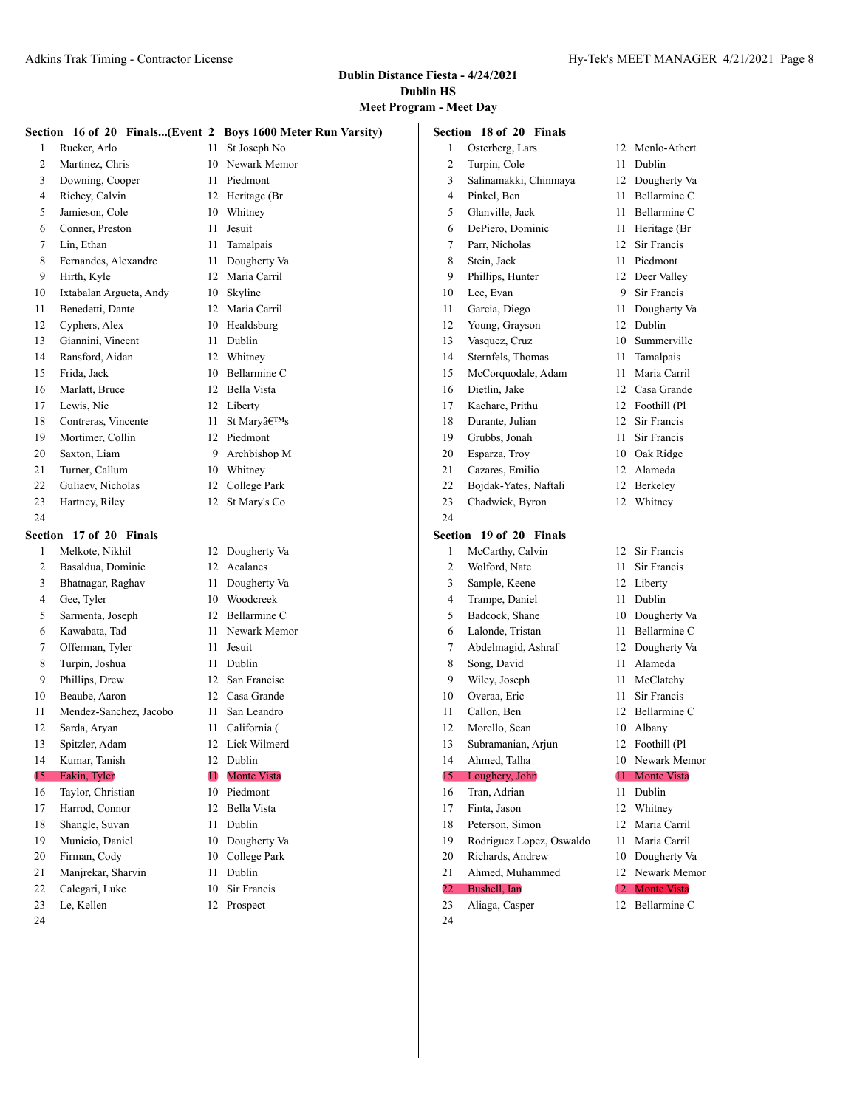|                |                         |    | Section 16 of 20 Finals(Event 2 Boys 1600 Meter Run Varsity) |    | Section 18 of 20 Finals  |    |                    |
|----------------|-------------------------|----|--------------------------------------------------------------|----|--------------------------|----|--------------------|
| 1              | Rucker, Arlo            | 11 | St Joseph No                                                 | 1  | Osterberg, Lars          | 12 | Menlo-Athert       |
| 2              | Martinez, Chris         | 10 | Newark Memor                                                 | 2  | Turpin, Cole             | 11 | Dublin             |
| 3              | Downing, Cooper         | 11 | Piedmont                                                     | 3  | Salinamakki, Chinmaya    | 12 | Dougherty Va       |
| 4              | Richey, Calvin          |    | 12 Heritage (Br                                              | 4  | Pinkel, Ben              | 11 | Bellarmine C       |
| 5              | Jamieson, Cole          | 10 | Whitney                                                      | 5  | Glanville, Jack          | 11 | Bellarmine C       |
| 6              | Conner, Preston         | 11 | Jesuit                                                       | 6  | DePiero, Dominic         | 11 | Heritage (Br       |
| 7              | Lin, Ethan              | 11 | Tamalpais                                                    | 7  | Parr, Nicholas           | 12 | Sir Francis        |
| 8              | Fernandes, Alexandre    | 11 | Dougherty Va                                                 | 8  | Stein, Jack              | 11 | Piedmont           |
| 9              | Hirth, Kyle             | 12 | Maria Carril                                                 | 9  | Phillips, Hunter         | 12 | Deer Valley        |
| 10             | Ixtabalan Argueta, Andy | 10 | Skyline                                                      | 10 | Lee, Evan                | 9  | Sir Francis        |
| 11             | Benedetti, Dante        | 12 | Maria Carril                                                 | 11 | Garcia, Diego            | 11 | Dougherty Va       |
| 12             | Cyphers, Alex           | 10 | Healdsburg                                                   | 12 | Young, Grayson           | 12 | Dublin             |
| 13             | Giannini, Vincent       | 11 | Dublin                                                       | 13 | Vasquez, Cruz            | 10 | Summerville        |
| 14             | Ransford, Aidan         | 12 | Whitney                                                      | 14 | Sternfels, Thomas        | 11 | Tamalpais          |
| 15             | Frida, Jack             | 10 | Bellarmine C                                                 | 15 | McCorquodale, Adam       | 11 | Maria Carril       |
| 16             | Marlatt, Bruce          | 12 | Bella Vista                                                  | 16 | Dietlin, Jake            | 12 | Casa Grande        |
| 17             | Lewis, Nic              |    | 12 Liberty                                                   | 17 | Kachare, Prithu          |    | 12 Foothill (Pl    |
| 18             | Contreras, Vincente     | 11 | St Mary's                                                    | 18 | Durante, Julian          | 12 | Sir Francis        |
| 19             | Mortimer, Collin        | 12 | Piedmont                                                     | 19 | Grubbs, Jonah            | 11 | Sir Francis        |
| 20             | Saxton, Liam            | 9  | Archbishop M                                                 | 20 | Esparza, Troy            | 10 | Oak Ridge          |
| 21             | Turner, Callum          | 10 | Whitney                                                      | 21 | Cazares, Emilio          | 12 | Alameda            |
| 22             | Guliaev, Nicholas       | 12 | College Park                                                 | 22 | Bojdak-Yates, Naftali    | 12 | Berkeley           |
| 23             | Hartney, Riley          | 12 | St Mary's Co                                                 | 23 | Chadwick, Byron          | 12 | Whitney            |
| 24             |                         |    |                                                              | 24 |                          |    |                    |
|                | Section 17 of 20 Finals |    |                                                              |    | Section 19 of 20 Finals  |    |                    |
| 1              | Melkote, Nikhil         | 12 | Dougherty Va                                                 | 1  | McCarthy, Calvin         | 12 | Sir Francis        |
| $\overline{2}$ | Basaldua, Dominic       | 12 | Acalanes                                                     | 2  | Wolford, Nate            | 11 | Sir Francis        |
| 3              | Bhatnagar, Raghav       | 11 | Dougherty Va                                                 | 3  | Sample, Keene            | 12 | Liberty            |
| 4              | Gee, Tyler              | 10 | Woodcreek                                                    | 4  | Trampe, Daniel           |    | 11 Dublin          |
| 5              | Sarmenta, Joseph        | 12 | Bellarmine C                                                 | 5  | Badcock, Shane           | 10 | Dougherty Va       |
| 6              | Kawabata, Tad           | 11 | Newark Memor                                                 | 6  | Lalonde, Tristan         | 11 | Bellarmine C       |
| 7              | Offerman, Tyler         | 11 | Jesuit                                                       | 7  | Abdelmagid, Ashraf       | 12 | Dougherty Va       |
| 8              | Turpin, Joshua          | 11 | Dublin                                                       | 8  | Song, David              | 11 | Alameda            |
| 9              | Phillips, Drew          | 12 | San Francisc                                                 | 9  | Wiley, Joseph            | 11 | McClatchy          |
| 10             | Beaube, Aaron           | 12 | Casa Grande                                                  | 10 | Overaa, Eric             | 11 | Sir Francis        |
| 11             | Mendez-Sanchez, Jacobo  | 11 | San Leandro                                                  | 11 | Callon, Ben              | 12 | Bellarmine C       |
| 12             | Sarda, Aryan            | 11 | California (                                                 | 12 | Morello, Sean            |    | 10 Albany          |
| 13             | Spitzler, Adam          |    | 12 Lick Wilmerd                                              | 13 | Subramanian, Arjun       |    | 12 Foothill (Pl    |
| 14             | Kumar, Tanish           | 12 | Dublin                                                       | 14 | Ahmed, Talha             |    | 10 Newark Memor    |
| 15             | Eakin, Tyler            | O  | <b>Monte Vista</b>                                           | 15 | Loughery, John           | 44 | <b>Monte Vista</b> |
| 16             | Taylor, Christian       | 10 | Piedmont                                                     | 16 | Tran, Adrian             |    | 11 Dublin          |
| 17             | Harrod, Connor          |    | 12 Bella Vista                                               | 17 | Finta, Jason             |    | 12 Whitney         |
| 18             | Shangle, Suvan          | 11 | Dublin                                                       | 18 | Peterson, Simon          |    | 12 Maria Carril    |
| 19             | Municio, Daniel         | 10 | Dougherty Va                                                 | 19 | Rodriguez Lopez, Oswaldo | 11 | Maria Carril       |
| 20             | Firman, Cody            | 10 | College Park                                                 | 20 | Richards, Andrew         | 10 | Dougherty Va       |
| 21             | Manjrekar, Sharvin      | 11 | Dublin                                                       | 21 | Ahmed, Muhammed          |    | 12 Newark Memor    |
| 22             | Calegari, Luke          | 10 | Sir Francis                                                  | 22 | Bushell, Ian             | 12 | <b>Monte Vista</b> |
| 23             |                         |    |                                                              |    |                          |    |                    |
|                | Le, Kellen              |    | 12 Prospect                                                  | 23 | Aliaga, Casper           |    | 12 Bellarmine C    |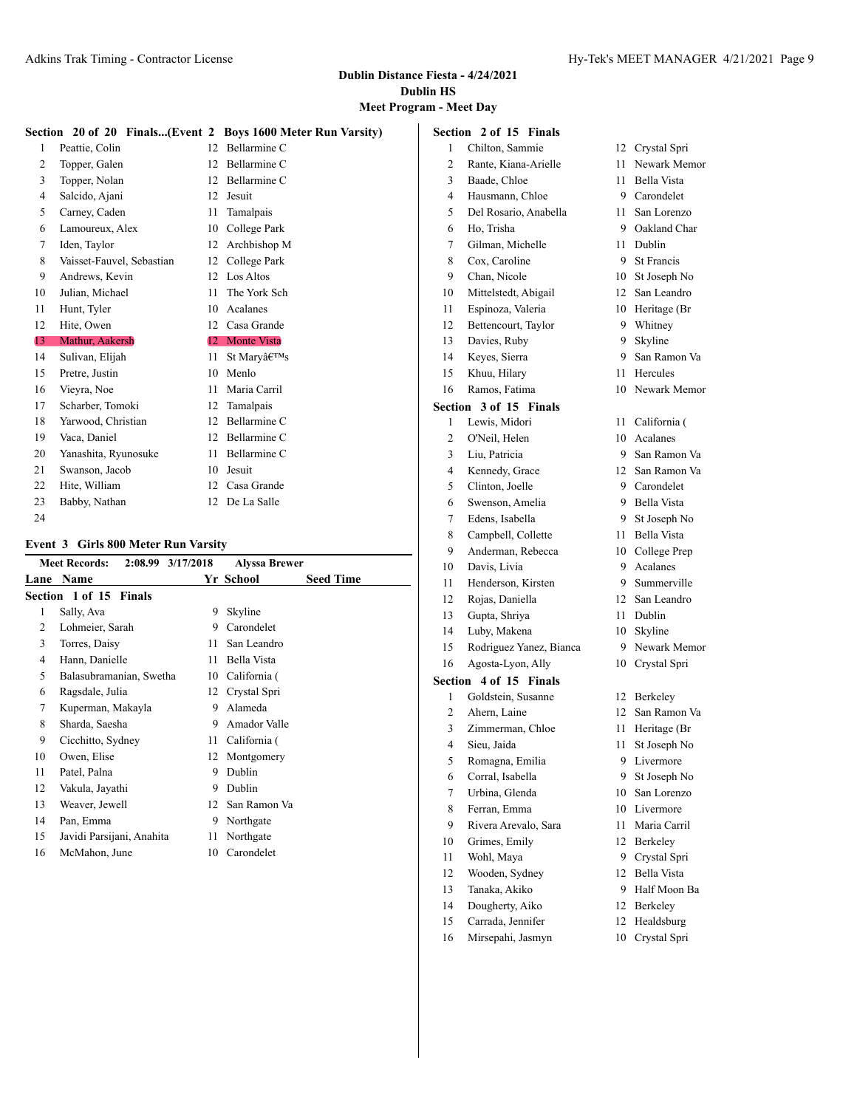# **Meet Program - Meet Day**

|    |                           |                  | Section 20 of 20 Finals(Event 2 Boys 1600 Meter Run Varsity) |
|----|---------------------------|------------------|--------------------------------------------------------------|
| 1  | Peattie, Colin            | 12 <sup>2</sup>  | Bellarmine C                                                 |
| 2  | Topper, Galen             | 12 <sup>12</sup> | Bellarmine C                                                 |
| 3  | Topper, Nolan             | 12 <sup>1</sup>  | Bellarmine C                                                 |
| 4  | Salcido, Ajani            | 12 <sup>2</sup>  | Jesuit                                                       |
| 5  | Carney, Caden             | 11               | Tamalpais                                                    |
| 6  | Lamoureux, Alex           | 10               | College Park                                                 |
| 7  | Iden, Taylor              |                  | 12 Archbishop M                                              |
| 8  | Vaisset-Fauvel, Sebastian |                  | 12 College Park                                              |
| 9  | Andrews, Kevin            | 12 <sub>1</sub>  | Los Altos                                                    |
| 10 | Julian, Michael           | 11               | The York Sch                                                 |
| 11 | Hunt, Tyler               | 10               | Acalanes                                                     |
| 12 | Hite, Owen                | 12               | Casa Grande                                                  |
| 13 | Mathur, Aakersh           |                  | 12 Monte Vista                                               |
| 14 | Sulivan, Elijah           | 11               | St Mary's                                                    |
| 15 | Pretre, Justin            | 10               | Menlo                                                        |
|    |                           |                  | Maria Carril                                                 |
| 16 | Vieyra, Noe               | 11               |                                                              |
| 17 | Scharber, Tomoki          | 12               | Tamalpais                                                    |
| 18 | Yarwood, Christian        | 12               | Bellarmine C                                                 |
| 19 | Vaca, Daniel              | 12 <sup>12</sup> | Bellarmine C                                                 |
| 20 | Yanashita, Ryunosuke      | 11               | Bellarmine C                                                 |
| 21 | Swanson, Jacob            | 10               | Jesuit                                                       |
| 22 | Hite, William             | 12               | Casa Grande                                                  |
| 23 | Babby, Nathan             | 12               | De La Salle                                                  |
| 24 |                           |                  |                                                              |

#### **Event 3 Girls 800 Meter Run Varsity**

|      | <b>Meet Records:</b>      | 2:08.99 3/17/2018 | <b>Alyssa Brewer</b> |                  |
|------|---------------------------|-------------------|----------------------|------------------|
| Lane | <b>Name</b>               |                   | Yr School            | <b>Seed Time</b> |
|      | Section 1 of 15 Finals    |                   |                      |                  |
| 1    | Sally, Ava                | 9                 | Skyline              |                  |
| 2    | Lohmeier, Sarah           | 9                 | Carondelet           |                  |
| 3    | Torres, Daisy             | 11                | San Leandro          |                  |
| 4    | Hann, Danielle            | 11                | Bella Vista          |                  |
| 5    | Balasubramanian, Swetha   | 10                | California (         |                  |
| 6    | Ragsdale, Julia           | 12                | Crystal Spri         |                  |
| 7    | Kuperman, Makayla         | 9                 | Alameda              |                  |
| 8    | Sharda, Saesha            | 9                 | Amador Valle         |                  |
| 9    | Cicchitto, Sydney         | 11                | California (         |                  |
| 10   | Owen, Elise               | 12                | Montgomery           |                  |
| 11   | Patel, Palna              | 9                 | Dublin               |                  |
| 12   | Vakula, Jayathi           | 9                 | Dublin               |                  |
| 13   | Weaver, Jewell            | 12                | San Ramon Va         |                  |
| 14   | Pan, Emma                 | 9                 | Northgate            |                  |
| 15   | Javidi Parsijani, Anahita | 11                | Northgate            |                  |
| 16   | McMahon, June             | 10                | Carondelet           |                  |

|                | <b>Section 2 of 15 Finals</b> |        |                 |
|----------------|-------------------------------|--------|-----------------|
| 1              | Chilton, Sammie               |        | 12 Crystal Spri |
| $\overline{c}$ | Rante, Kiana-Arielle          | 11     | Newark Memor    |
| 3              | Baade, Chloe                  |        | 11 Bella Vista  |
| 4              | Hausmann, Chloe               |        | 9 Carondelet    |
| 5              | Del Rosario, Anabella         |        | 11 San Lorenzo  |
| 6              | Ho, Trisha                    | 9.     | Oakland Char    |
| 7              | Gilman, Michelle              |        | 11 Dublin       |
| 8              | Cox. Caroline                 |        | 9 St Francis    |
| 9              | Chan, Nicole                  |        | 10 St Joseph No |
| 10             | Mittelstedt, Abigail          | 12     | San Leandro     |
| 11             | Espinoza, Valeria             | 10     | Heritage (Br    |
| 12             | Bettencourt, Taylor           | 9.     | Whitney         |
| 13             | Davies, Ruby                  |        | 9 Skyline       |
| 14             | Keyes, Sierra                 | 9      | San Ramon Va    |
| 15             | Khuu, Hilary                  | $11 -$ | Hercules        |
| 16             | Ramos, Fatima                 | 10     | Newark Memor    |
|                | Section 3 of 15 Finals        |        |                 |
| 1              | Lewis, Midori                 | 11     | California (    |
| 2              | O'Neil, Helen                 |        | 10 Acalanes     |
| 3              | Liu. Patricia                 | 9.     | San Ramon Va    |
| 4              | Kennedy, Grace                |        | 12 San Ramon Va |
| 5              | Clinton, Joelle               |        | 9 Carondelet    |
| 6              | Swenson, Amelia               |        | 9 Bella Vista   |
| 7              | Edens, Isabella               | 9      | St Joseph No    |
| 8              | Campbell, Collette            | 11.    | Bella Vista     |
| 9              | Anderman, Rebecca             |        | 10 College Prep |
| 10             | Davis, Livia                  |        | 9 Acalanes      |
| 11             | Henderson, Kirsten            | 9      | Summerville     |
| 12             | Rojas, Daniella               |        | 12 San Leandro  |
| 13             | Gupta, Shriya                 |        | 11 Dublin       |
| 14             | Luby, Makena                  |        | 10 Skyline      |
| 15             | Rodriguez Yanez, Bianca       | 9.     | Newark Memor    |
| 16             | Agosta-Lyon, Ally             | 10     | Crystal Spri    |
| Section        | 4 of 15 Finals                |        |                 |
| 1              | Goldstein, Susanne            | 12     | Berkeley        |
| 2              | Ahern, Laine                  | 12     | San Ramon Va    |
| 3              | Zimmerman, Chloe              | 11     | Heritage (Br    |
| 4              | Sieu, Jaida                   | 11     | St Joseph No    |
| 5              | Romagna, Emilia               | 9      | Livermore       |
| 6              | Corral, Isabella              | 9      | St Joseph No    |
| 7              | Urbina, Glenda                | 10     | San Lorenzo     |
| 8              | Ferran, Emma                  | 10     | Livermore       |
| 9              | Rivera Arevalo, Sara          | 11     | Maria Carril    |
| 10             | Grimes, Emily                 | 12     | Berkeley        |
| 11             | Wohl, Maya                    | 9      | Crystal Spri    |
| 12             | Wooden, Sydney                | 12     | Bella Vista     |
| 13             | Tanaka, Akiko                 | 9      | Half Moon Ba    |
| 14             | Dougherty, Aiko               | 12     | Berkeley        |
| 15             | Carrada, Jennifer             | 12     | Healdsburg      |
| 16             | Mirsepahi, Jasmyn             | 10     | Crystal Spri    |
|                |                               |        |                 |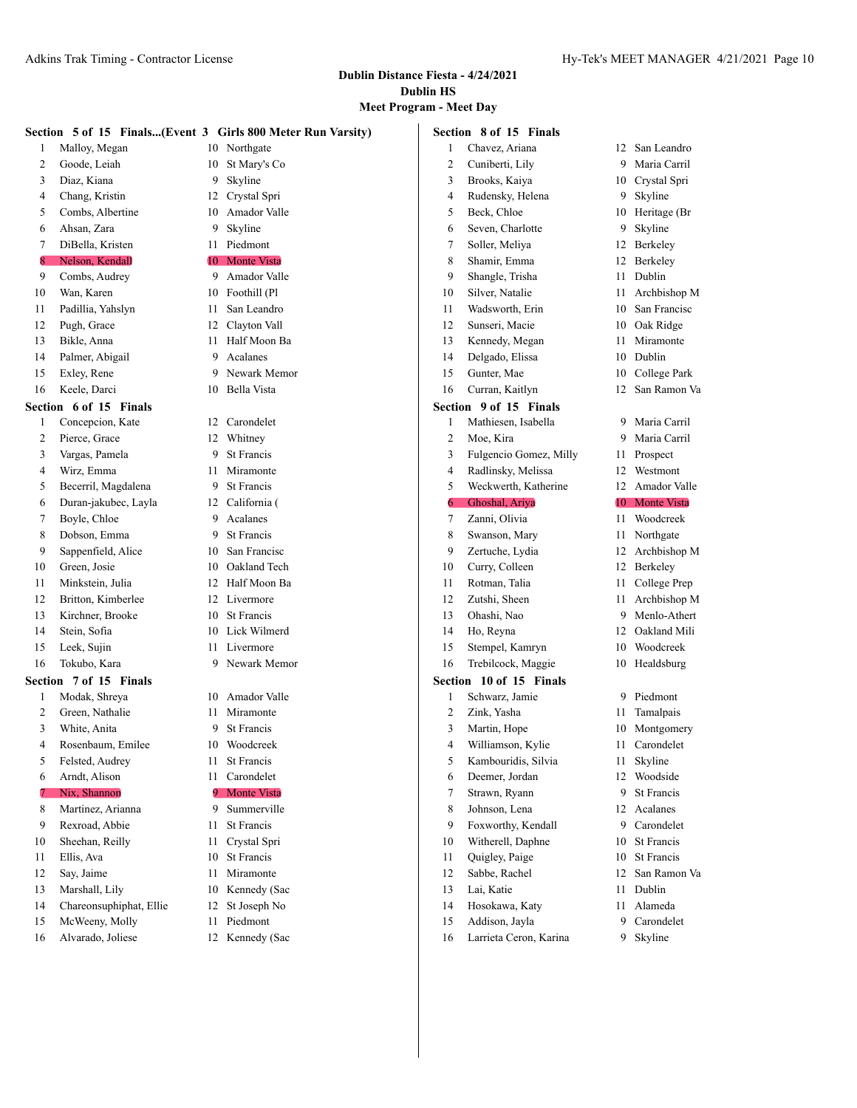|         |                         |     | Section 5 of 15 Finals(Event 3 Girls 800 Meter Run Varsity) |                | Section 8 of 15 Finals |      |                    |
|---------|-------------------------|-----|-------------------------------------------------------------|----------------|------------------------|------|--------------------|
| 1       | Malloy, Megan           | 10  | Northgate                                                   | 1              | Chavez, Ariana         |      | 12 San Leandro     |
| 2       | Goode, Leiah            | 10  | St Mary's Co                                                | 2              | Cuniberti, Lily        | 9    | Maria Carril       |
| 3       | Diaz, Kiana             | 9   | Skyline                                                     | 3              | Brooks, Kaiya          | 10   | Crystal Spri       |
| 4       | Chang, Kristin          | 12  | Crystal Spri                                                | 4              | Rudensky, Helena       | 9    | Skyline            |
| 5       | Combs, Albertine        | 10  | Amador Valle                                                | 5              | Beck, Chloe            |      | 10 Heritage (Br    |
| 6       | Ahsan, Zara             | 9   | Skyline                                                     | 6              | Seven, Charlotte       | 9    | Skyline            |
| 7       | DiBella, Kristen        | 11  | Piedmont                                                    | 7              | Soller, Meliya         |      | 12 Berkeley        |
| 8       | Nelson, Kendall         | 10  | <b>Monte Vista</b>                                          | 8              | Shamir, Emma           |      | 12 Berkeley        |
| 9       | Combs, Audrey           | 9   | Amador Valle                                                | 9              | Shangle, Trisha        | 11   | Dublin             |
| 10      | Wan, Karen              | 10  | Foothill (Pl                                                | 10             | Silver, Natalie        | 11   | Archbishop M       |
| 11      | Padillia, Yahslyn       | 11  | San Leandro                                                 | 11             | Wadsworth, Erin        | 10   | San Francisc       |
| 12      | Pugh, Grace             | 12  | Clayton Vall                                                | 12             | Sunseri, Macie         | 10   | Oak Ridge          |
| 13      | Bikle, Anna             | 11  | Half Moon Ba                                                | 13             | Kennedy, Megan         | 11   | Miramonte          |
| 14      | Palmer, Abigail         | 9   | Acalanes                                                    | 14             | Delgado, Elissa        |      | 10 Dublin          |
| 15      | Exley, Rene             | 9   | Newark Memor                                                | 15             | Gunter, Mae            | 10   | College Park       |
| 16      | Keele, Darci            | 10  | Bella Vista                                                 | 16             | Curran, Kaitlyn        | 12   | San Ramon Va       |
|         | Section 6 of 15 Finals  |     |                                                             |                | Section 9 of 15 Finals |      |                    |
| 1       | Concepcion, Kate        | 12  | Carondelet                                                  | 1              | Mathiesen, Isabella    | 9.   | Maria Carril       |
| 2       | Pierce, Grace           | 12  | Whitney                                                     | 2              | Moe, Kira              | 9    | Maria Carril       |
| 3       | Vargas, Pamela          | 9   | St Francis                                                  | 3              | Fulgencio Gomez, Milly |      | 11 Prospect        |
| 4       | Wirz, Emma              | 11  | Miramonte                                                   | 4              | Radlinsky, Melissa     | 12   | Westmont           |
| 5       | Becerril, Magdalena     | 9   | St Francis                                                  | 5              | Weckwerth, Katherine   |      | 12 Amador Valle    |
| 6       | Duran-jakubec, Layla    | 12  | California (                                                | 6              | Ghoshal, Ariya         | 10-  | <b>Monte Vista</b> |
| 7       | Boyle, Chloe            | 9   | Acalanes                                                    | 7              | Zanni, Olivia          | 11   | Woodcreek          |
| 8       | Dobson, Emma            | 9   | <b>St Francis</b>                                           | 8              | Swanson, Mary          | 11   | Northgate          |
| 9       | Sappenfield, Alice      | 10  | San Francisc                                                | 9              | Zertuche, Lydia        |      | 12 Archbishop M    |
| 10      | Green, Josie            | 10  | Oakland Tech                                                | 10             | Curry, Colleen         |      | 12 Berkeley        |
| 11      | Minkstein, Julia        | 12  | Half Moon Ba                                                | 11             | Rotman, Talia          | 11   | College Prep       |
| 12      | Britton, Kimberlee      | 12  | Livermore                                                   | 12             | Zutshi, Sheen          | 11 - | Archbishop M       |
| 13      | Kirchner, Brooke        | 10  | St Francis                                                  | 13             | Ohashi, Nao            | 9    | Menlo-Athert       |
| 14      | Stein, Sofia            | 10  | Lick Wilmerd                                                | 14             | Ho, Reyna              | 12   | Oakland Mili       |
| 15      | Leek, Sujin             | 11  | Livermore                                                   | 15             | Stempel, Kamryn        | 10   | Woodcreek          |
| 16      | Tokubo, Kara            | 9   | Newark Memor                                                | 16             | Trebilcock, Maggie     |      | 10 Healdsburg      |
| Section | 7 of 15 Finals          |     |                                                             | <b>Section</b> | 10 of 15 Finals        |      |                    |
| 1       | Modak, Shreya           | 10  | Amador Valle                                                | 1              | Schwarz, Jamie         |      | 9 Piedmont         |
| 2       | Green, Nathalie         | 11  | Miramonte                                                   | 2              | Zink, Yasha            | 11   | Tamalpais          |
| 3       | White, Anita            | 9   | St Francis                                                  | 3              | Martin, Hope           |      | 10 Montgomery      |
| 4       | Rosenbaum, Emilee       |     | 10 Woodcreek                                                | 4              | Williamson, Kylie      |      | 11 Carondelet      |
| 5       | Felsted, Audrey         | 11. | St Francis                                                  | 5              | Kambouridis, Silvia    |      | 11 Skyline         |
| 6       | Arndt, Alison           |     | 11 Carondelet                                               | 6              | Deemer, Jordan         |      | 12 Woodside        |
|         | Nix, Shannon            | 9.  | <b>Monte Vista</b>                                          | 7              | Strawn, Ryann          | 9    | St Francis         |
| 8       | Martinez, Arianna       | 9   | Summerville                                                 | 8              | Johnson, Lena          |      | 12 Acalanes        |
| 9       | Rexroad, Abbie          | 11  | St Francis                                                  | 9              | Foxworthy, Kendall     | 9.   | Carondelet         |
| 10      | Sheehan, Reilly         | 11  | Crystal Spri                                                | 10             | Witherell, Daphne      | 10   | St Francis         |
| 11      | Ellis, Ava              | 10  | St Francis                                                  | 11             | Quigley, Paige         | 10   | St Francis         |
| 12      | Say, Jaime              | 11  | Miramonte                                                   | 12             | Sabbe, Rachel          | 12   | San Ramon Va       |
| 13      | Marshall, Lily          | 10  | Kennedy (Sac                                                | 13             | Lai, Katie             | 11 - | Dublin             |
| 14      | Chareonsuphiphat, Ellie | 12  | St Joseph No                                                | 14             | Hosokawa, Katy         |      | 11 Alameda         |
| 15      | McWeeny, Molly          | 11  | Piedmont                                                    | 15             | Addison, Jayla         | 9    | Carondelet         |
| 16      | Alvarado, Joliese       |     | 12 Kennedy (Sac                                             | 16             | Larrieta Ceron, Karina |      | 9 Skyline          |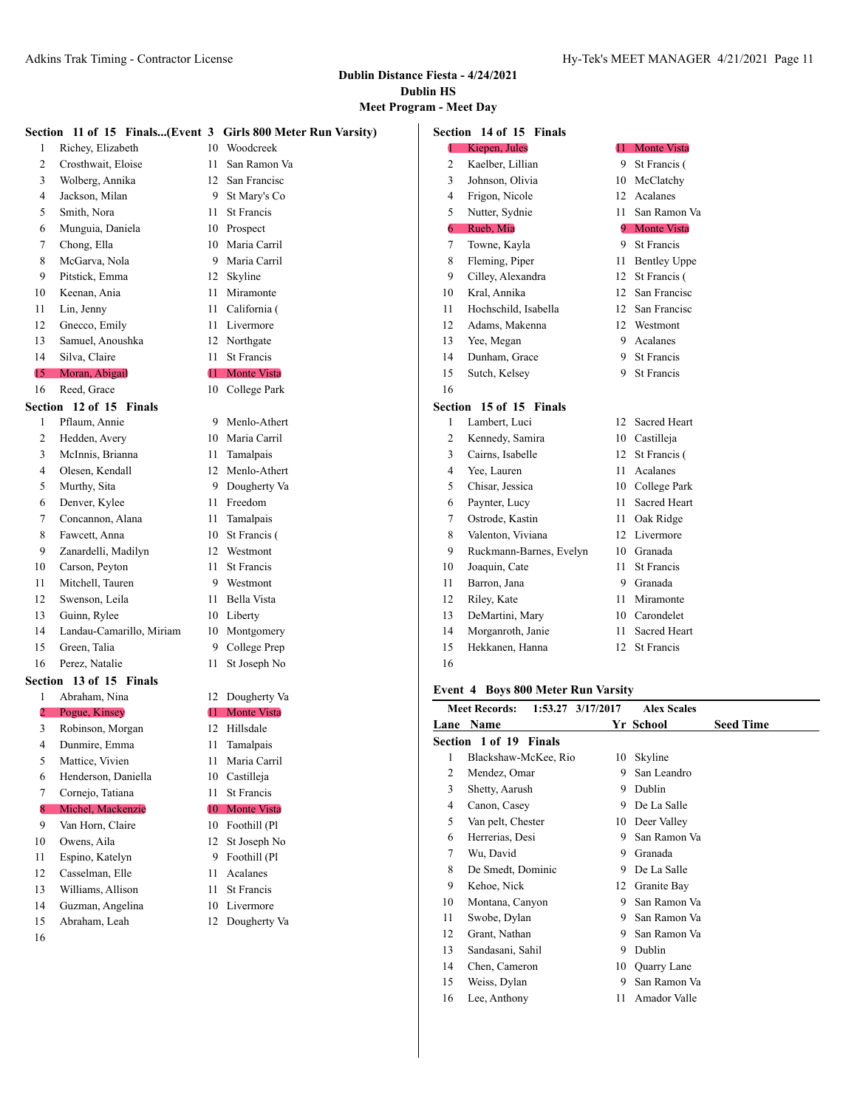**Meet Program - Meet Day**

|    |                          |    | Section 11 of 15 Finals(Event 3 Girls 800 Meter Run Varsity) |    | Section 14 of 15 Finals                   |    |                               |
|----|--------------------------|----|--------------------------------------------------------------|----|-------------------------------------------|----|-------------------------------|
| 1  | Richey, Elizabeth        | 10 | Woodcreek                                                    | 1  | Kiepen, Jules                             | 44 | <b>Monte Vista</b>            |
| 2  | Crosthwait, Eloise       | 11 | San Ramon Va                                                 | 2  | Kaelber, Lillian                          | 9  | St Francis (                  |
| 3  | Wolberg, Annika          | 12 | San Francisc                                                 | 3  | Johnson, Olivia                           | 10 | McClatchy                     |
| 4  | Jackson, Milan           | 9  | St Mary's Co                                                 | 4  | Frigon, Nicole                            |    | 12 Acalanes                   |
| 5  | Smith, Nora              | 11 | St Francis                                                   | 5  | Nutter, Sydnie                            | 11 | San Ramon Va                  |
| 6  | Munguia, Daniela         | 10 | Prospect                                                     | 6  | Rueb, Mia                                 | 9. | <b>Monte Vista</b>            |
| 7  | Chong, Ella              | 10 | Maria Carril                                                 | 7  | Towne, Kayla                              | 9  | <b>St Francis</b>             |
| 8  | McGarva, Nola            | 9  | Maria Carril                                                 | 8  | Fleming, Piper                            | 11 | <b>Bentley Uppe</b>           |
| 9  | Pitstick, Emma           | 12 | Skyline                                                      | 9  | Cilley, Alexandra                         | 12 | St Francis (                  |
| 10 | Keenan, Ania             | 11 | Miramonte                                                    | 10 | Kral, Annika                              | 12 | San Francisc                  |
| 11 | Lin, Jenny               | 11 | California (                                                 | 11 | Hochschild, Isabella                      | 12 | San Francisc                  |
| 12 | Gnecco, Emily            | 11 | Livermore                                                    | 12 | Adams, Makenna                            | 12 | Westmont                      |
| 13 | Samuel, Anoushka         |    | 12 Northgate                                                 | 13 | Yee, Megan                                | 9  | Acalanes                      |
| 14 | Silva, Claire            | 11 | St Francis                                                   | 14 | Dunham, Grace                             | 9  | <b>St Francis</b>             |
| 15 | Moran, Abigail           | 11 | <b>Monte Vista</b>                                           | 15 | Sutch, Kelsey                             | 9  | St Francis                    |
| 16 | Reed, Grace              |    | 10 College Park                                              | 16 |                                           |    |                               |
|    | Section 12 of 15 Finals  |    |                                                              |    | Section 15 of 15 Finals                   |    |                               |
| 1  | Pflaum, Annie            |    | 9 Menlo-Athert                                               | 1  | Lambert, Luci                             |    | 12 Sacred Heart               |
| 2  | Hedden, Avery            | 10 | Maria Carril                                                 | 2  | Kennedy, Samira                           | 10 | Castilleja                    |
| 3  | McInnis, Brianna         | 11 | Tamalpais                                                    | 3  | Cairns, Isabelle                          | 12 | St Francis (                  |
| 4  | Olesen, Kendall          | 12 | Menlo-Athert                                                 | 4  | Yee, Lauren                               | 11 | Acalanes                      |
| 5  | Murthy, Sita             | 9  | Dougherty Va                                                 | 5  | Chisar, Jessica                           | 10 | College Park                  |
| 6  | Denver, Kylee            | 11 | Freedom                                                      | 6  | Paynter, Lucy                             | 11 | Sacred Heart                  |
| 7  | Concannon, Alana         | 11 | Tamalpais                                                    | 7  | Ostrode, Kastin                           | 11 | Oak Ridge                     |
| 8  | Fawcett, Anna            | 10 | St Francis (                                                 | 8  | Valenton, Viviana                         | 12 | Livermore                     |
| 9  | Zanardelli, Madilyn      | 12 | Westmont                                                     | 9  | Ruckmann-Barnes, Evelyn                   | 10 | Granada                       |
| 10 | Carson, Peyton           | 11 | <b>St Francis</b>                                            | 10 | Joaquin, Cate                             | 11 | <b>St Francis</b>             |
| 11 | Mitchell, Tauren         | 9  | Westmont                                                     | 11 | Barron, Jana                              | 9  | Granada                       |
| 12 | Swenson, Leila           | 11 | Bella Vista                                                  | 12 | Riley, Kate                               | 11 | Miramonte                     |
| 13 | Guinn, Rylee             |    | 10 Liberty                                                   | 13 | DeMartini, Mary                           | 10 | Carondelet                    |
| 14 | Landau-Camarillo, Miriam |    | 10 Montgomery                                                | 14 | Morganroth, Janie                         | 11 | Sacred Heart                  |
| 15 | Green, Talia             | 9  | College Prep                                                 | 15 | Hekkanen, Hanna                           | 12 | <b>St Francis</b>             |
| 16 | Perez, Natalie           | 11 | St Joseph No                                                 | 16 |                                           |    |                               |
|    | Section 13 of 15 Finals  |    |                                                              |    |                                           |    |                               |
| 1  | Abraham, Nina            |    | 12 Dougherty Va                                              |    | Event 4 Boys 800 Meter Run Varsity        |    |                               |
| 2  | Pogue, Kinsey            | 11 | <b>Monte Vista</b>                                           |    | <b>Meet Records:</b><br>1:53.27 3/17/2017 |    | <b>Alex Scales</b>            |
| 3  | Robinson, Morgan         | 12 | Hillsdale                                                    |    | Lane Name                                 |    | <b>Seed Time</b><br>Yr School |
| 4  | Dunmire, Emma            |    | 11 Tamalpais                                                 |    | Section 1 of 19 Finals                    |    |                               |
| 5  | Mattice, Vivien          | 11 | Maria Carril                                                 | 1  | Blackshaw-McKee, Rio                      |    | 10 Skyline                    |
| 6  | Henderson, Daniella      | 10 | Castilleja                                                   | 2  | Mendez, Omar                              | 9  | San Leandro                   |
| 7  | Cornejo, Tatiana         | 11 | St Francis                                                   | 3  | Shetty, Aarush                            | 9  | Dublin                        |
| 8  | Michel, Mackenzie        | 10 | <b>Monte Vista</b>                                           | 4  | Canon, Casey                              | 9  | De La Salle                   |
| 9  | Van Horn, Claire         |    | 10 Foothill (Pl                                              | 5  | Van pelt, Chester                         |    | 10 Deer Valley                |
| 10 | Owens, Aila              |    | 12 St Joseph No                                              | 6  | Herrerias, Desi                           | 9  | San Ramon Va                  |
| 11 | Espino, Katelyn          |    | Foothill (Pl<br>9.                                           | 7  | Wu, David                                 | 9  | Granada                       |
| 12 | Casselman, Elle          | 11 | Acalanes                                                     | 8  | De Smedt, Dominic                         | 9  | De La Salle                   |
| 13 | Williams, Allison        | 11 | St Francis                                                   | 9  | Kehoe, Nick                               | 12 | Granite Bay                   |
| 14 | Guzman, Angelina         | 10 | Livermore                                                    | 10 | Montana, Canyon                           | 9  | San Ramon Va                  |
| 15 | Ahraham Leah             |    | 12 Dougherty Va                                              | 11 | Swobe, Dylan                              | 9  | San Ramon Va                  |

- Abraham, Leah 12 Dougherty Va
- 
- 13 Sandasani, Sahil 9 Dublin
- 14 Chen, Cameron 10 Quarry Lane
- 15 Weiss, Dylan 9 San Ramon Va
- Lee, Anthony 11 Amador Valle

Grant, Nathan 9 San Ramon Va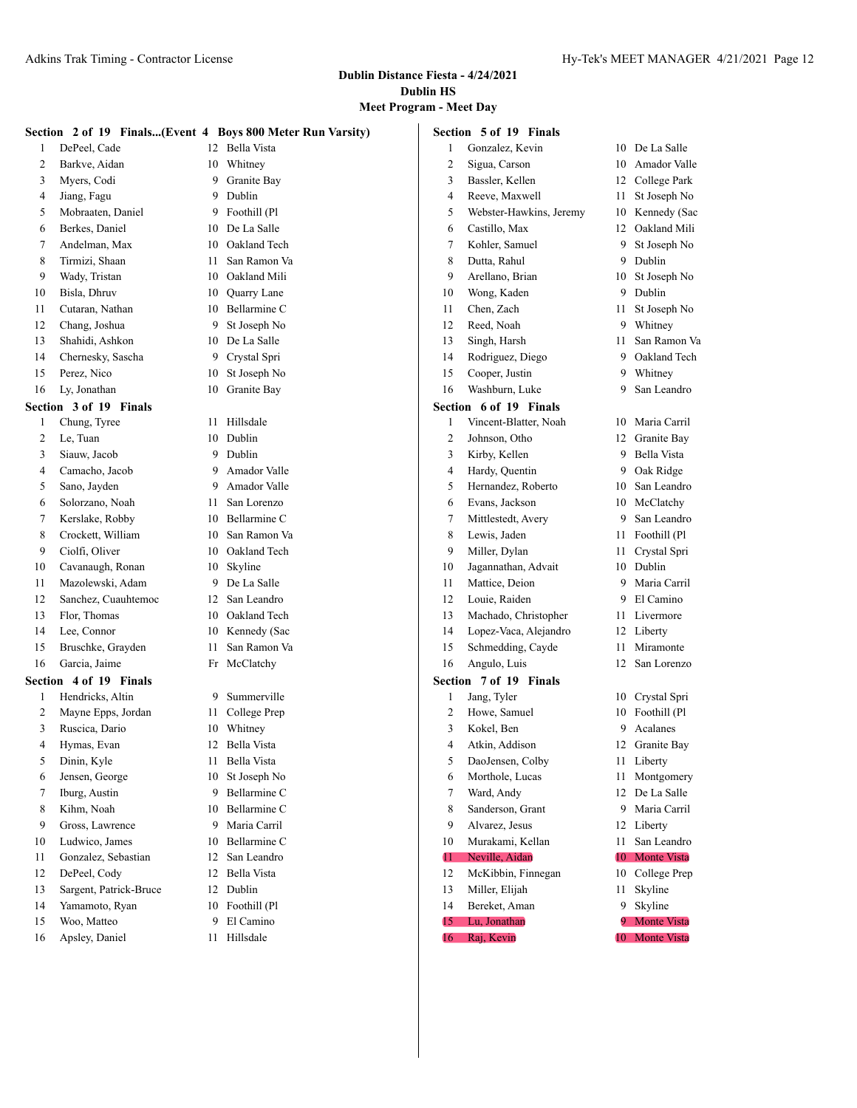|    |                        |    | Section 2 of 19 Finals(Event 4 Boys 800 Meter Run Varsity) |      | Section 5 of 19 Finals  |    |                 |
|----|------------------------|----|------------------------------------------------------------|------|-------------------------|----|-----------------|
| 1  | DePeel, Cade           | 12 | Bella Vista                                                |      | Gonzalez, Kevin         | 10 | De La Salle     |
| 2  | Barkve, Aidan          | 10 | Whitney                                                    | 2    | Sigua, Carson           | 10 | Amador Valle    |
| 3  | Myers, Codi            | 9  | Granite Bay                                                | 3    | Bassler, Kellen         | 12 | College Park    |
| 4  | Jiang, Fagu            | 9  | Dublin                                                     | 4    | Reeve, Maxwell          | 11 | St Joseph No    |
| 5  | Mobraaten, Daniel      | 9  | Foothill (Pl                                               | 5    | Webster-Hawkins, Jeremy | 10 | Kennedy (Sac    |
| 6  | Berkes, Daniel         | 10 | De La Salle                                                | 6    | Castillo, Max           | 12 | Oakland Mili    |
| 7  | Andelman, Max          | 10 | Oakland Tech                                               | 7    | Kohler, Samuel          | 9  | St Joseph No    |
| 8  | Tirmizi, Shaan         | 11 | San Ramon Va                                               | 8    | Dutta, Rahul            | 9  | Dublin          |
| 9  | Wady, Tristan          | 10 | Oakland Mili                                               | 9    | Arellano, Brian         | 10 | St Joseph No    |
| 10 | Bisla, Dhruv           | 10 | Quarry Lane                                                | 10   | Wong, Kaden             | 9  | Dublin          |
| 11 | Cutaran, Nathan        | 10 | Bellarmine C                                               | 11   | Chen, Zach              | 11 | St Joseph No    |
| 12 | Chang, Joshua          | 9  | St Joseph No                                               | 12   | Reed, Noah              | 9  | Whitney         |
| 13 | Shahidi, Ashkon        | 10 | De La Salle                                                | 13   | Singh, Harsh            | 11 | San Ramon Va    |
| 14 | Chernesky, Sascha      | 9  | Crystal Spri                                               | 14   | Rodriguez, Diego        | 9  | Oakland Tech    |
| 15 | Perez, Nico            | 10 | St Joseph No                                               | 15   | Cooper, Justin          | 9  | Whitney         |
| 16 | Ly, Jonathan           | 10 | Granite Bay                                                | 16   | Washburn, Luke          | 9  | San Leandro     |
|    | Section 3 of 19 Finals |    |                                                            |      | Section 6 of 19 Finals  |    |                 |
| 1  | Chung, Tyree           | 11 | Hillsdale                                                  | 1    | Vincent-Blatter, Noah   | 10 | Maria Carril    |
| 2  | Le, Tuan               | 10 | Dublin                                                     | 2    | Johnson, Otho           | 12 | Granite Bay     |
| 3  | Siauw, Jacob           | 9  | Dublin                                                     | 3    | Kirby, Kellen           | 9  | Bella Vista     |
| 4  | Camacho, Jacob         | 9  | Amador Valle                                               | 4    | Hardy, Quentin          | 9  | Oak Ridge       |
| 5  | Sano, Jayden           | 9  | Amador Valle                                               | 5    | Hernandez, Roberto      | 10 | San Leandro     |
| 6  | Solorzano, Noah        | 11 | San Lorenzo                                                | 6    | Evans, Jackson          | 10 | McClatchy       |
| 7  | Kerslake, Robby        | 10 | Bellarmine C                                               | 7    | Mittlestedt, Avery      | 9  | San Leandro     |
| 8  | Crockett, William      | 10 | San Ramon Va                                               | 8    | Lewis, Jaden            | 11 | Foothill (Pl    |
| 9  | Ciolfi, Oliver         | 10 | Oakland Tech                                               | 9    | Miller, Dylan           | 11 | Crystal Spri    |
| 10 | Cavanaugh, Ronan       | 10 | Skyline                                                    | 10   | Jagannathan, Advait     | 10 | Dublin          |
| 11 | Mazolewski, Adam       | 9  | De La Salle                                                | 11   | Mattice, Deion          | 9  | Maria Carril    |
| 12 | Sanchez, Cuauhtemoc    | 12 | San Leandro                                                | 12   | Louie, Raiden           | 9  | El Camino       |
| 13 | Flor, Thomas           | 10 | Oakland Tech                                               | 13   | Machado, Christopher    | 11 | Livermore       |
| 14 | Lee, Connor            | 10 | Kennedy (Sac                                               | 14   | Lopez-Vaca, Alejandro   | 12 | Liberty         |
| 15 | Bruschke, Grayden      | 11 | San Ramon Va                                               | 15   | Schmedding, Cayde       | 11 | Miramonte       |
| 16 | Garcia, Jaime          |    | Fr McClatchy                                               | 16   | Angulo, Luis            | 12 | San Lorenzo     |
|    | Section 4 of 19 Finals |    |                                                            |      | Section 7 of 19 Finals  |    |                 |
| 1  | Hendricks, Altin       | 9  | Summerville                                                |      | Jang, Tyler             |    | 10 Crystal Spri |
| 2  | Mayne Epps, Jordan     | 11 | College Prep                                               | 2    | Howe, Samuel            | 10 | Foothill (Pl    |
| 3  | Ruscica, Dario         | 10 | Whitney                                                    | 3    | Kokel, Ben              | 9  | Acalanes        |
| 4  | Hymas, Evan            | 12 | Bella Vista                                                | 4    | Atkin, Addison          |    | 12 Granite Bay  |
| 5  | Dinin, Kyle            | 11 | Bella Vista                                                | 5    | DaoJensen, Colby        |    | 11 Liberty      |
| 6  | Jensen, George         | 10 | St Joseph No                                               | 6    | Morthole, Lucas         | 11 | Montgomery      |
| 7  | Iburg, Austin          | 9  | Bellarmine C                                               | 7    | Ward, Andy              | 12 | De La Salle     |
| 8  | Kihm, Noah             | 10 | Bellarmine C                                               | 8    | Sanderson, Grant        | 9  | Maria Carril    |
| 9  | Gross, Lawrence        | 9  | Maria Carril                                               | 9    | Alvarez, Jesus          | 12 | Liberty         |
| 10 | Ludwico, James         | 10 | Bellarmine C                                               | 10   | Murakami, Kellan        | 11 | San Leandro     |
| 11 | Gonzalez, Sebastian    | 12 | San Leandro                                                | 11   | Neville, Aidan          | 10 | Monte Vista     |
| 12 | DePeel, Cody           | 12 | Bella Vista                                                | 12   | McKibbin, Finnegan      | 10 | College Prep    |
| 13 | Sargent, Patrick-Bruce | 12 | Dublin                                                     | 13   | Miller, Elijah          | 11 | Skyline         |
| 14 | Yamamoto, Ryan         |    | 10 Foothill (Pl                                            | 14   | Bereket, Aman           |    | 9 Skyline       |
| 15 | Woo, Matteo            | 9  | El Camino                                                  | 15   | Lu, Jonathan            | 9. | Monte Vista     |
| 16 | Apsley, Daniel         |    | 11 Hillsdale                                               | 16 - | Raj, Kevin              |    | 10 Monte Vista  |

- 16 Apsley, Daniel 11 Hillsdale
-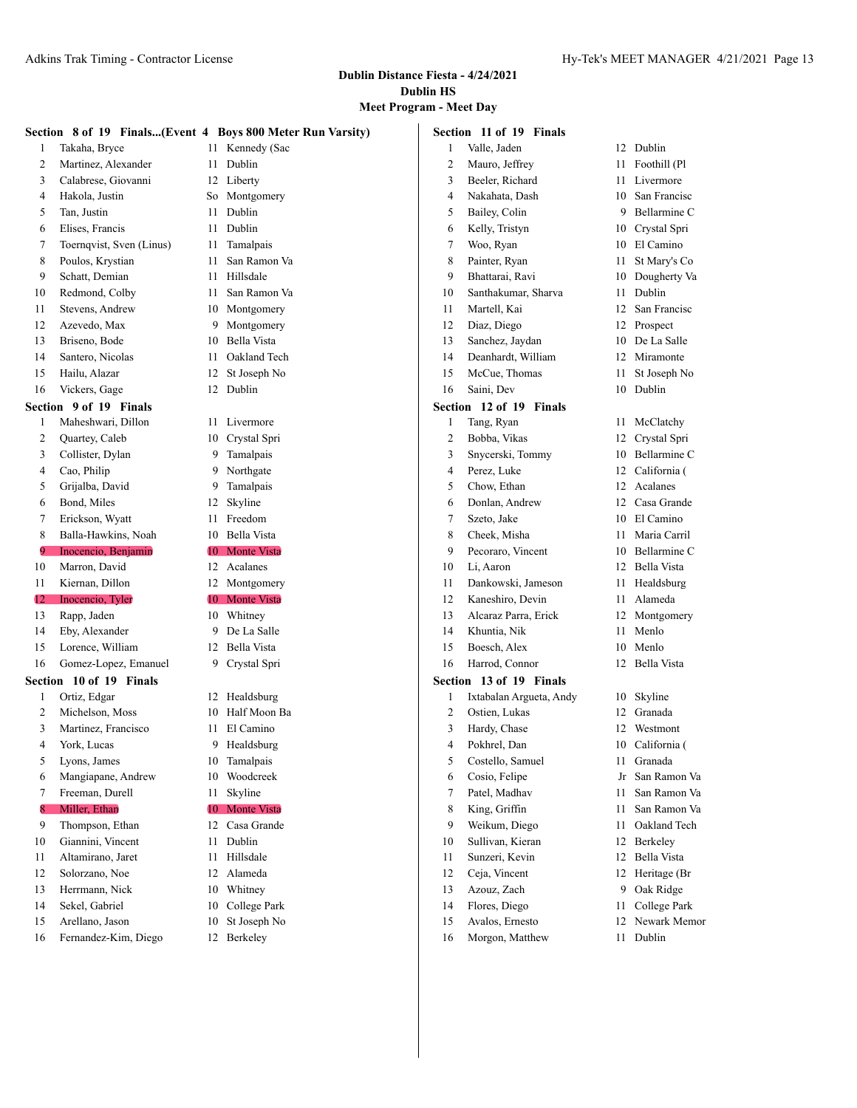# **Meet Program - Meet Day**

|    | Section 8 of 19 Finals(Event 4 Boys 800 Meter Run Varsity) |      |                    | Section 11 of 19 Finals |                         |    |                 |
|----|------------------------------------------------------------|------|--------------------|-------------------------|-------------------------|----|-----------------|
| 1  | Takaha, Bryce                                              |      | 11 Kennedy (Sac    | 1                       | Valle, Jaden            |    | 12 Dublin       |
| 2  | Martinez, Alexander                                        | 11   | Dublin             | 2                       | Mauro, Jeffrey          | 11 | Foothill (Pl    |
| 3  | Calabrese, Giovanni                                        |      | 12 Liberty         | 3                       | Beeler, Richard         | 11 | Livermore       |
| 4  | Hakola, Justin                                             |      | So Montgomery      | 4                       | Nakahata, Dash          | 10 | San Francisc    |
| 5  | Tan, Justin                                                | 11   | Dublin             | 5                       | Bailey, Colin           | 9  | Bellarmine C    |
| 6  | Elises, Francis                                            | 11   | Dublin             | 6                       | Kelly, Tristyn          | 10 | Crystal Spri    |
| 7  | Toernqvist, Sven (Linus)                                   | 11   | Tamalpais          | 7                       | Woo, Ryan               | 10 | El Camino       |
| 8  | Poulos, Krystian                                           | 11   | San Ramon Va       | 8                       | Painter, Ryan           | 11 | St Mary's Co    |
| 9  | Schatt, Demian                                             | 11   | Hillsdale          | 9                       | Bhattarai, Ravi         | 10 | Dougherty Va    |
| 10 | Redmond, Colby                                             | 11   | San Ramon Va       | 10                      | Santhakumar, Sharva     | 11 | Dublin          |
| 11 | Stevens, Andrew                                            | 10   | Montgomery         | 11                      | Martell, Kai            | 12 | San Francisc    |
| 12 | Azevedo, Max                                               | 9    | Montgomery         | 12                      | Diaz, Diego             | 12 | Prospect        |
| 13 | Briseno, Bode                                              | 10   | Bella Vista        | 13                      | Sanchez, Jaydan         | 10 | De La Salle     |
| 14 | Santero, Nicolas                                           | 11   | Oakland Tech       | 14                      | Deanhardt, William      | 12 | Miramonte       |
| 15 | Hailu, Alazar                                              | 12   | St Joseph No       | 15                      | McCue, Thomas           | 11 | St Joseph No    |
| 16 | Vickers, Gage                                              |      | 12 Dublin          | 16                      | Saini, Dev              |    | 10 Dublin       |
|    | Section 9 of 19 Finals                                     |      |                    |                         | Section 12 of 19 Finals |    |                 |
| 1  | Maheshwari, Dillon                                         | 11 - | Livermore          | 1                       | Tang, Ryan              |    | 11 McClatchy    |
| 2  | Quartey, Caleb                                             | 10   | Crystal Spri       | 2                       | Bobba, Vikas            | 12 | Crystal Spri    |
| 3  | Collister, Dylan                                           |      | 9 Tamalpais        | 3                       | Snycerski, Tommy        | 10 | Bellarmine C    |
| 4  | Cao, Philip                                                | 9.   | Northgate          | 4                       | Perez, Luke             | 12 | California (    |
| 5  | Grijalba, David                                            | 9    | Tamalpais          | 5                       | Chow, Ethan             | 12 | Acalanes        |
| 6  | Bond, Miles                                                | 12   | Skyline            | 6                       | Donlan, Andrew          | 12 | Casa Grande     |
| 7  | Erickson, Wyatt                                            | 11   | Freedom            | 7                       | Szeto, Jake             | 10 | El Camino       |
| 8  | Balla-Hawkins, Noah                                        | 10   | Bella Vista        | 8                       | Cheek, Misha            | 11 | Maria Carril    |
| 9  | Inocencio, Benjamin                                        | 10   | <b>Monte Vista</b> | 9                       | Pecoraro, Vincent       | 10 | Bellarmine C    |
| 10 | Marron, David                                              | 12   | Acalanes           | 10                      | Li, Aaron               | 12 | Bella Vista     |
| 11 | Kiernan, Dillon                                            | 12   | Montgomery         | 11                      | Dankowski, Jameson      | 11 | Healdsburg      |
| 12 | Inocencio, Tyler                                           | 10.  | <b>Monte Vista</b> | 12                      | Kaneshiro, Devin        | 11 | Alameda         |
| 13 | Rapp, Jaden                                                | 10   | Whitney            | 13                      | Alcaraz Parra, Erick    | 12 | Montgomery      |
| 14 | Eby, Alexander                                             | 9.   | De La Salle        | 14                      | Khuntia, Nik            | 11 | Menlo           |
| 15 | Lorence, William                                           | 12   | Bella Vista        | 15                      | Boesch, Alex            | 10 | Menlo           |
| 16 | Gomez-Lopez, Emanuel                                       |      | 9 Crystal Spri     | 16                      | Harrod, Connor          | 12 | Bella Vista     |
|    | Section 10 of 19 Finals                                    |      |                    |                         | Section 13 of 19 Finals |    |                 |
| 1  | Ortiz, Edgar                                               | 12   | Healdsburg         | 1                       | Ixtabalan Argueta, Andy | 10 | Skyline         |
| 2  | Michelson, Moss                                            | 10   | Half Moon Ba       | $\overline{c}$          | Ostien, Lukas           | 12 | Granada         |
| 3  | Martinez, Francisco                                        | 11   | El Camino          | 3                       | Hardy, Chase            | 12 | Westmont        |
| 4  | York, Lucas                                                | 9    | Healdsburg         | 4                       | Pokhrel, Dan            | 10 | California (    |
| 5  | Lyons, James                                               | 10   | Tamalpais          | 5                       | Costello, Samuel        | 11 | Granada         |
| 6  | Mangiapane, Andrew                                         | 10   | Woodcreek          | 6                       | Cosio, Felipe           | Jr | San Ramon Va    |
| 7  | Freeman, Durell                                            | 11   | Skyline            | 7                       | Patel, Madhav           | 11 | San Ramon Va    |
| 8  | Miller, Ethan                                              | 10   | Monte Vista        | 8                       | King, Griffin           | 11 | San Ramon Va    |
| 9  | Thompson, Ethan                                            | 12   | Casa Grande        | 9                       | Weikum, Diego           | 11 | Oakland Tech    |
| 10 | Giannini, Vincent                                          | 11   | Dublin             | 10                      | Sullivan, Kieran        | 12 | Berkeley        |
| 11 | Altamirano, Jaret                                          | 11   | Hillsdale          | 11                      | Sunzeri, Kevin          | 12 | Bella Vista     |
| 12 | Solorzano, Noe                                             | 12   | Alameda            | 12                      | Ceja, Vincent           | 12 | Heritage (Br    |
| 13 | Herrmann, Nick                                             | 10   | Whitney            | 13                      | Azouz, Zach             | 9  | Oak Ridge       |
| 14 | Sekel, Gabriel                                             | 10   | College Park       | 14                      | Flores, Diego           | 11 | College Park    |
| 15 | Arellano, Jason                                            |      | 10 St Joseph No    | 15                      | Avalos, Ernesto         |    | 12 Newark Memor |

Morgon, Matthew 11 Dublin

- Fernandez-Kim, Diego 12 Berkeley
-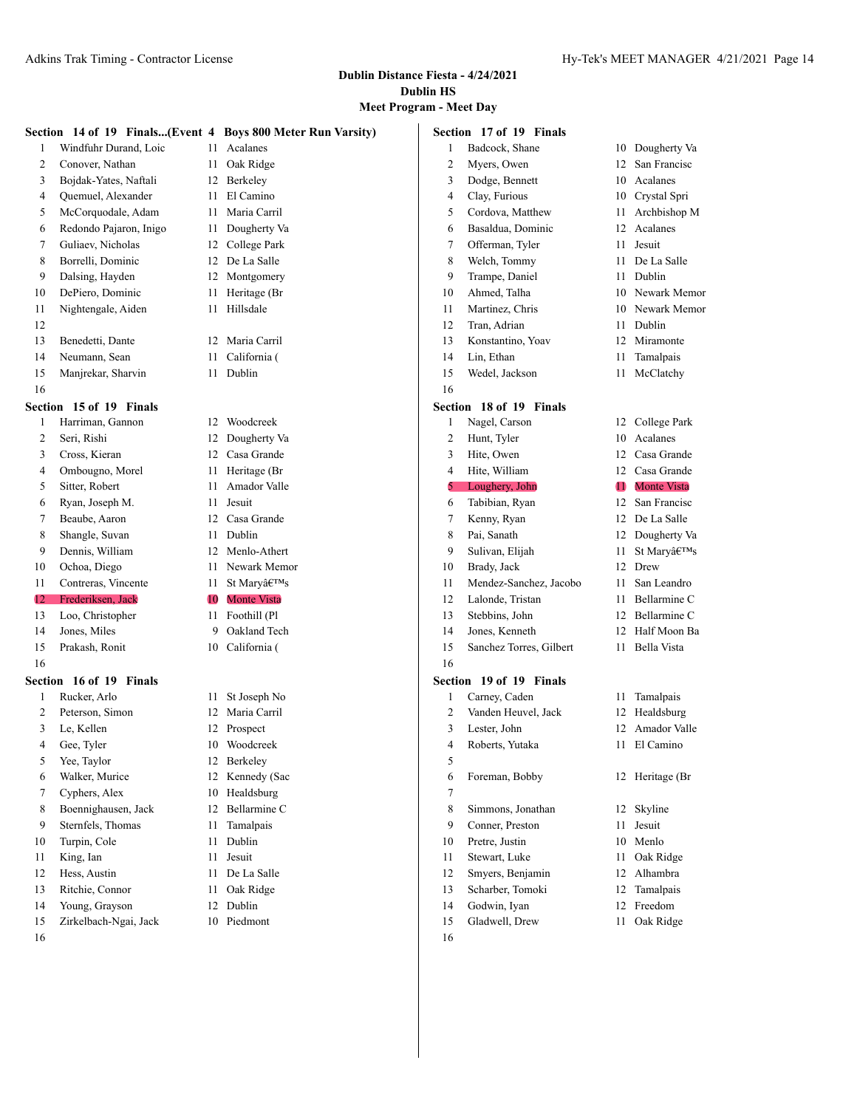# **Meet Program - Meet Day**

|                |                         |    | Section 14 of 19 Finals(Event 4 Boys 800 Meter Run Varsity) |                | Section 17 of 19 Finals |    |                    |
|----------------|-------------------------|----|-------------------------------------------------------------|----------------|-------------------------|----|--------------------|
| 1              | Windfuhr Durand, Loic   | 11 | Acalanes                                                    | 1              | Badcock, Shane          |    | 10 Dougherty Va    |
| $\overline{2}$ | Conover, Nathan         | 11 | Oak Ridge                                                   | 2              | Myers, Owen             | 12 | San Francisc       |
| 3              | Bojdak-Yates, Naftali   |    | 12 Berkeley                                                 | 3              | Dodge, Bennett          | 10 | Acalanes           |
| 4              | Quemuel, Alexander      | 11 | El Camino                                                   | 4              | Clay, Furious           |    | 10 Crystal Spri    |
| 5              | McCorquodale, Adam      | 11 | Maria Carril                                                | 5              | Cordova, Matthew        | 11 | Archbishop M       |
| 6              | Redondo Pajaron, Inigo  | 11 | Dougherty Va                                                | 6              | Basaldua, Dominic       | 12 | Acalanes           |
| 7              | Guliaev, Nicholas       | 12 | College Park                                                | 7              | Offerman, Tyler         | 11 | Jesuit             |
| 8              | Borrelli, Dominic       |    | 12 De La Salle                                              | 8              | Welch, Tommy            | 11 | De La Salle        |
| 9              | Dalsing, Hayden         |    | 12 Montgomery                                               | 9              | Trampe, Daniel          | 11 | Dublin             |
| 10             | DePiero, Dominic        | 11 | Heritage (Br                                                | 10             | Ahmed, Talha            | 10 | Newark Memor       |
| 11             | Nightengale, Aiden      |    | 11 Hillsdale                                                | 11             | Martinez, Chris         | 10 | Newark Memor       |
| 12             |                         |    |                                                             | 12             | Tran, Adrian            | 11 | Dublin             |
| 13             | Benedetti, Dante        |    | 12 Maria Carril                                             | 13             | Konstantino, Yoav       | 12 | Miramonte          |
| 14             | Neumann, Sean           | 11 | California (                                                | 14             | Lin, Ethan              | 11 | Tamalpais          |
| 15             | Manjrekar, Sharvin      |    | 11 Dublin                                                   | 15             | Wedel, Jackson          | 11 | McClatchy          |
| 16             |                         |    |                                                             | 16             |                         |    |                    |
|                | Section 15 of 19 Finals |    |                                                             |                | Section 18 of 19 Finals |    |                    |
| $\mathbf{1}$   | Harriman, Gannon        |    | 12 Woodcreek                                                | 1              | Nagel, Carson           |    | 12 College Park    |
| $\overline{2}$ | Seri, Rishi             |    | 12 Dougherty Va                                             | 2              | Hunt, Tyler             |    | 10 Acalanes        |
| 3              | Cross, Kieran           | 12 | Casa Grande                                                 | 3              | Hite, Owen              | 12 | Casa Grande        |
| 4              | Ombougno, Morel         | 11 | Heritage (Br                                                | 4              | Hite, William           | 12 | Casa Grande        |
| 5              | Sitter, Robert          | 11 | Amador Valle                                                | 5              | Loughery, John          | O  | <b>Monte Vista</b> |
| 6              | Ryan, Joseph M.         | 11 | Jesuit                                                      | 6              | Tabibian, Ryan          | 12 | San Francisc       |
| 7              | Beaube, Aaron           |    | 12 Casa Grande                                              | 7              | Kenny, Ryan             | 12 | De La Salle        |
| 8              | Shangle, Suvan          | 11 | Dublin                                                      | 8              | Pai, Sanath             | 12 | Dougherty Va       |
| 9              | Dennis, William         | 12 | Menlo-Athert                                                | 9              | Sulivan, Elijah         | 11 | St Mary's          |
| 10             | Ochoa, Diego            | 11 | Newark Memor                                                | 10             | Brady, Jack             | 12 | Drew               |
| 11             | Contreras, Vincente     | 11 | St Mary's                                                   | 11             | Mendez-Sanchez, Jacobo  | 11 | San Leandro        |
| 12             | Frederiksen, Jack       | 10 | <b>Monte Vista</b>                                          | 12             | Lalonde, Tristan        | 11 | Bellarmine C       |
| 13             | Loo, Christopher        | 11 | Foothill (Pl                                                | 13             | Stebbins, John          | 12 | Bellarmine C       |
| 14             | Jones, Miles            | 9  | Oakland Tech                                                | 14             | Jones, Kenneth          | 12 | Half Moon Ba       |
| 15             | Prakash, Ronit          |    | 10 California (                                             | 15             | Sanchez Torres, Gilbert | 11 | Bella Vista        |
| 16             |                         |    |                                                             | 16             |                         |    |                    |
|                | Section 16 of 19 Finals |    |                                                             |                | Section 19 of 19 Finals |    |                    |
| 1              | Rucker, Arlo            |    | 11 St Joseph No                                             | 1              | Carney, Caden           |    | 11 Tamalpais       |
| 2              | Peterson, Simon         |    | 12 Maria Carril                                             | $\overline{c}$ | Vanden Heuvel, Jack     |    | 12 Healdsburg      |
| 3              | Le, Kellen              |    | 12 Prospect                                                 | 3              | Lester, John            |    | 12 Amador Valle    |
| 4              | Gee, Tyler              |    | 10 Woodcreek                                                | 4              | Roberts, Yutaka         |    | 11 El Camino       |
| 5              | Yee, Taylor             |    | 12 Berkeley                                                 | 5              |                         |    |                    |
| 6              | Walker, Murice          |    | 12 Kennedy (Sac                                             | 6              | Foreman, Bobby          |    | 12 Heritage (Br    |
| 7              | Cyphers, Alex           |    | 10 Healdsburg                                               | 7              |                         |    |                    |
| 8              | Boennighausen, Jack     |    | 12 Bellarmine C                                             | 8              | Simmons, Jonathan       |    | 12 Skyline         |
| 9              | Sternfels, Thomas       |    | 11 Tamalpais                                                | 9              | Conner, Preston         |    | 11 Jesuit          |
| 10             | Turpin, Cole            |    | 11 Dublin                                                   | 10             | Pretre, Justin          |    | 10 Menlo           |
| 11             | King, Ian               | 11 | Jesuit                                                      | 11             | Stewart, Luke           | 11 | Oak Ridge          |
| 12             | Hess, Austin            |    | 11 De La Salle                                              | 12             | Smyers, Benjamin        |    | 12 Alhambra        |
| 13             | Ritchie, Connor         |    | 11 Oak Ridge                                                | 13             | Scharber, Tomoki        |    | 12 Tamalpais       |
| 14             | Young, Grayson          |    | 12 Dublin                                                   | 14             | Godwin, Iyan            |    | 12 Freedom         |
| 15             | Zirkelbach-Ngai, Jack   |    | 10 Piedmont                                                 | 15             | Gladwell, Drew          |    | 11 Oak Ridge       |
| 16             |                         |    |                                                             | 16             |                         |    |                    |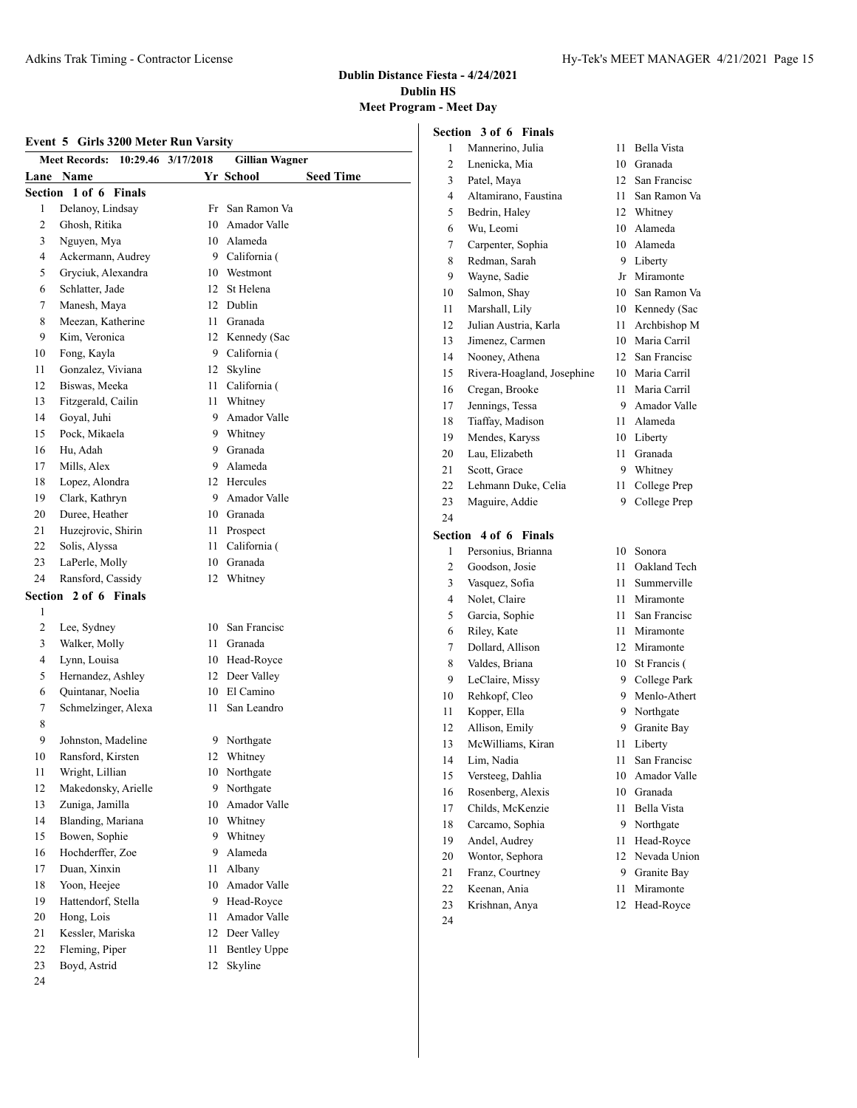#### **Dublin Distance Fiesta - 4/24/2021 Dublin HS Meet Program - Mee**

# **Event 5 Girls 3200 Meter Run Varsity**

|    | Event 5 Girls 3200 Meter Run Varsity<br><b>Meet Records:</b> | 10:29.46 3/17/2018 | <b>Gillian Wagner</b> |                  |
|----|--------------------------------------------------------------|--------------------|-----------------------|------------------|
|    | <b>Lane Name</b>                                             |                    | Yr School             | <b>Seed Time</b> |
|    | Section 1 of 6 Finals                                        |                    |                       |                  |
| 1  | Delanoy, Lindsay                                             | Fr                 | San Ramon Va          |                  |
| 2  | Ghosh, Ritika                                                |                    | 10 Amador Valle       |                  |
| 3  | Nguyen, Mya                                                  |                    | 10 Alameda            |                  |
| 4  | Ackermann, Audrey                                            |                    | 9 California (        |                  |
| 5  | Gryciuk, Alexandra                                           |                    | 10 Westmont           |                  |
| 6  | Schlatter, Jade                                              | 12                 | St Helena             |                  |
| 7  | Manesh, Maya                                                 |                    | 12 Dublin             |                  |
| 8  | Meezan, Katherine                                            |                    | 11 Granada            |                  |
| 9  | Kim, Veronica                                                |                    | 12 Kennedy (Sac       |                  |
| 10 | Fong, Kayla                                                  |                    | 9 California (        |                  |
| 11 | Gonzalez, Viviana                                            | 12                 | Skyline               |                  |
| 12 | Biswas, Meeka                                                |                    | 11 California (       |                  |
| 13 | Fitzgerald, Cailin                                           |                    | 11 Whitney            |                  |
| 14 | Goyal, Juhi                                                  |                    | 9 Amador Valle        |                  |
| 15 | Pock, Mikaela                                                |                    | 9 Whitney             |                  |
| 16 | Hu. Adah                                                     |                    | 9 Granada             |                  |
| 17 | Mills, Alex                                                  |                    | 9 Alameda             |                  |
| 18 | Lopez, Alondra                                               |                    | 12 Hercules           |                  |
| 19 | Clark, Kathryn                                               |                    | 9 Amador Valle        |                  |
| 20 | Duree, Heather                                               |                    | 10 Granada            |                  |
| 21 | Huzejrovic, Shirin                                           | 11 -               | Prospect              |                  |
| 22 | Solis, Alyssa                                                | 11 -               | California (          |                  |
| 23 | LaPerle, Molly                                               |                    | 10 Granada            |                  |
| 24 | Ransford, Cassidy                                            |                    | 12 Whitney            |                  |
|    | Section 2 of 6 Finals                                        |                    |                       |                  |
| 1  |                                                              |                    |                       |                  |
| 2  | Lee, Sydney                                                  |                    | 10 San Francisc       |                  |
| 3  | Walker, Molly                                                |                    | 11 Granada            |                  |
| 4  | Lynn, Louisa                                                 |                    | 10 Head-Royce         |                  |
| 5  | Hernandez, Ashley                                            |                    | 12 Deer Valley        |                  |
| 6  | Quintanar, Noelia                                            |                    | 10 El Camino          |                  |
| 7  | Schmelzinger, Alexa                                          | 11                 | San Leandro           |                  |
| 8  |                                                              |                    |                       |                  |
| 9  | Johnston, Madeline                                           |                    | 9 Northgate           |                  |
| 10 | Ransford, Kirsten                                            | 12                 | Whitney               |                  |
| 11 | Wright, Lillian                                              | 10                 | Northgate             |                  |
| 12 | Makedonsky, Arielle                                          | 9.                 | Northgate             |                  |
| 13 | Zuniga, Jamilla                                              | 10                 | Amador Valle          |                  |
| 14 | Blanding, Mariana                                            |                    | 10 Whitney            |                  |
| 15 | Bowen, Sophie                                                |                    | 9 Whitney             |                  |
| 16 | Hochderffer, Zoe                                             |                    | 9 Alameda             |                  |
| 17 | Duan, Xinxin                                                 | 11                 | Albany                |                  |
| 18 | Yoon, Heejee                                                 |                    | 10 Amador Valle       |                  |
| 19 | Hattendorf, Stella                                           |                    | 9 Head-Royce          |                  |
| 20 | Hong, Lois                                                   | 11 -               | Amador Valle          |                  |
| 21 | Kessler, Mariska                                             | 12                 | Deer Valley           |                  |
| 22 | Fleming, Piper                                               | 11                 | <b>Bentley Uppe</b>   |                  |
| 23 | Boyd, Astrid                                                 | 12                 | Skyline               |                  |

| ram - Meet Day |                            |      |                     |
|----------------|----------------------------|------|---------------------|
|                | Section 3 of 6 Finals      |      |                     |
| 1              | Mannerino, Julia           | 11   | <b>Bella Vista</b>  |
| 2              | Lnenicka, Mia              |      | 10 Granada          |
| 3              | Patel, Maya                |      | 12 San Francisc     |
| 4              | Altamirano, Faustina       |      | 11 San Ramon Va     |
| 5              | Bedrin, Haley              |      | 12 Whitney          |
| 6              | Wu, Leomi                  |      | 10 Alameda          |
| 7              | Carpenter, Sophia          |      | 10 Alameda          |
| 8              | Redman, Sarah              |      | 9 Liberty           |
| 9              | Wayne, Sadie               |      | Jr Miramonte        |
| 10             | Salmon, Shay               |      | 10 San Ramon Va     |
| 11             | Marshall, Lily             |      | 10 Kennedy (Sac     |
| 12             | Julian Austria, Karla      |      | 11 Archbishop M     |
| 13             | Jimenez, Carmen            |      | 10 Maria Carril     |
| 14             | Nooney, Athena             |      | 12 San Francisc     |
| 15             | Rivera-Hoagland, Josephine |      | 10 Maria Carril     |
| 16             | Cregan, Brooke             |      | 11 Maria Carril     |
| 17             | Jennings, Tessa            |      | 9 Amador Valle      |
| 18             | Tiaffay, Madison           |      | 11 Alameda          |
| 19             | Mendes, Karyss             |      | 10 Liberty          |
| 20             | Lau, Elizabeth             |      | 11 Granada          |
| 21             | Scott, Grace               |      | 9 Whitney           |
| 22             | Lehmann Duke, Celia        | 11 - | College Prep        |
| 23             | Maguire, Addie             | 9    | College Prep        |
| 24             |                            |      |                     |
|                | Section 4 of 6 Finals      |      |                     |
| 1              | Personius, Brianna         |      | 10 Sonora           |
| $\overline{2}$ | Goodson, Josie             | 11   | Oakland Tech        |
| 3              | Vasquez, Sofia             | 11   | Summerville         |
| 4              | Nolet, Claire              |      | 11 Miramonte        |
| 5              | Garcia, Sophie             |      | 11 San Francisc     |
| 6              | Riley, Kate                |      | 11 Miramonte        |
| 7              | Dollard, Allison           |      | 12 Miramonte        |
| 8              | Valdes, Briana             |      | 10 St Francis (     |
| 9              | LeClaire, Missy            |      | 9 College Park      |
| 10             | Rehkopf, Cleo              |      | 9 Menlo-Athert      |
| 11             | Kopper, Ella               |      | 9 Northgate         |
| 12             | Allison, Emily             |      | 9 Granite Bay       |
| 13             | McWilliams, Kiran          | 11   | Liberty             |
| 14             | Lim, Nadia                 | 11   | San Francisc        |
| 15             | Versteeg, Dahlia           | 10   | <b>Amador Valle</b> |
| 16             | Rosenberg, Alexis          | 10   | Granada             |
| 17             | Childs, McKenzie           | 11   | Bella Vista         |
| 18             | Carcamo, Sophia            | 9    | Northgate           |
| 19             | Andel, Audrey              | 11   | Head-Royce          |
| 20             | Wontor, Sephora            | 12   | Nevada Union        |
| 21             | Franz, Courtney            | 9    | Granite Bay         |
| 22             | Keenan, Ania               | 11   | Miramonte           |

- Krishnan, Anya 12 Head-Royce
-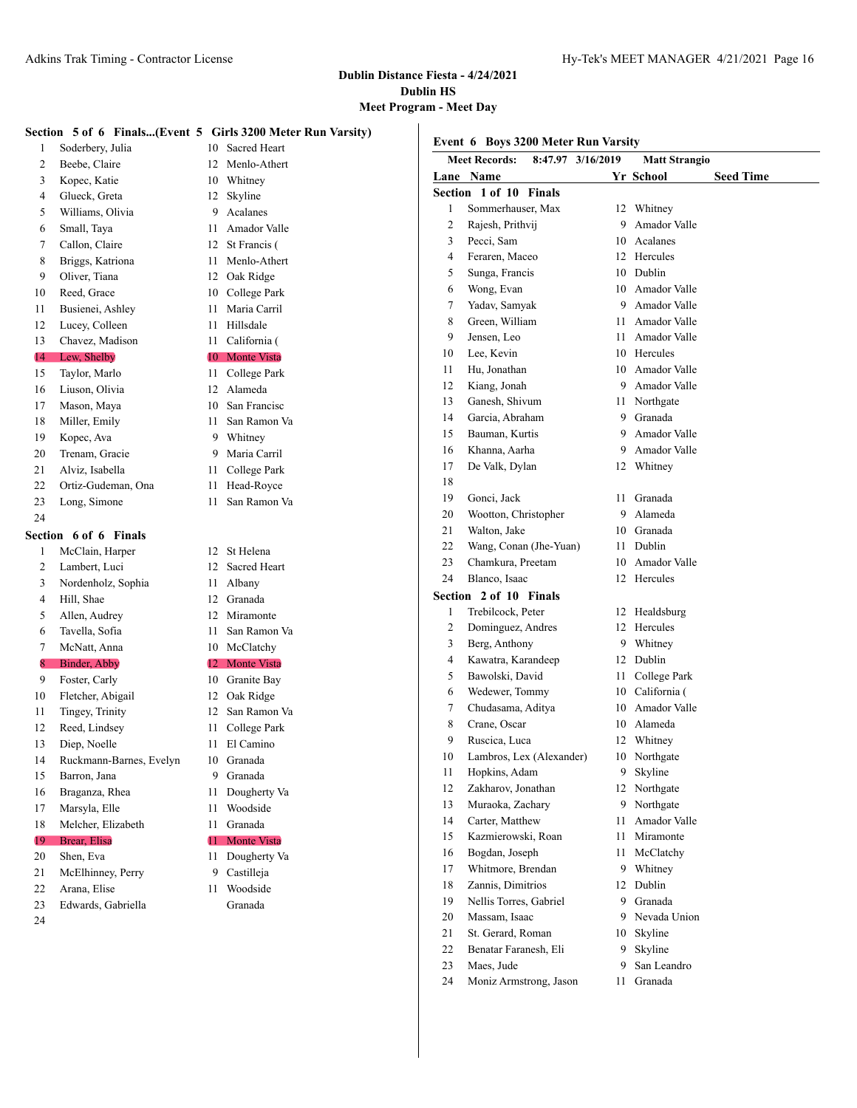#### **Dublin Distance Fiesta - 4/24/2021 Dublin HS Meet Program - Meet Day**

**Section** 

#### **Section 5 of 6 Finals...(Event 5 Girls 3200 Meter Run Varsity)**

 Soderbery, Julia 10 Sacred Heart 2 Beebe, Claire 12 Menlo-Athert Kopec, Katie 10 Whitney Glueck, Greta 12 Skyline Williams, Olivia 9 Acalanes Small, Taya 11 Amador Valle 7 Callon, Claire 12 St Francis ( Briggs, Katriona 11 Menlo-Athert Oliver, Tiana 12 Oak Ridge Reed, Grace 10 College Park Busienei, Ashley 11 Maria Carril 12 Lucey, Colleen 11 Hillsdale Chavez, Madison 11 California ( 14 Lew, Shelby 10 Monte Vista Taylor, Marlo 11 College Park Liuson, Olivia 12 Alameda 17 Mason, Maya 10 San Francisc 18 Miller, Emily 11 San Ramon Va 19 Kopec, Ava 9 Whitney Trenam, Gracie 9 Maria Carril Alviz, Isabella 11 College Park Ortiz-Gudeman, Ona 11 Head-Royce Long, Simone 11 San Ramon Va **Section 6 of 6 Finals** 1 McClain, Harper 12 St Helena Lambert, Luci 12 Sacred Heart Nordenholz, Sophia 11 Albany Hill, Shae 12 Granada Allen, Audrey 12 Miramonte Tavella, Sofia 11 San Ramon Va McNatt, Anna 10 McClatchy Binder, Abby 12 Monte Vista Foster, Carly 10 Granite Bay Fletcher, Abigail 12 Oak Ridge Tingey, Trinity 12 San Ramon Va Reed, Lindsey 11 College Park 13 Diep, Noelle 11 El Camino Ruckmann-Barnes, Evelyn 10 Granada 15 Barron, Jana 9 Granada Braganza, Rhea 11 Dougherty Va Marsyla, Elle 11 Woodside Melcher, Elizabeth 11 Granada 19 Brear, Elisa 11 Monte Vista 20 Shen, Eva 11 Dougherty Va

- 21 McElhinney, Perry 9 Castilleja
- 
- 

|                | <b>Meet Records:</b>   | 8:47.97 3/16/2019 | <b>Matt Strangio</b> |                  |
|----------------|------------------------|-------------------|----------------------|------------------|
|                | Lane Name              |                   | Yr School            | <b>Seed Time</b> |
|                | Section 1 of 10 Finals |                   |                      |                  |
| 1              | Sommerhauser, Max      | 12                | Whitney              |                  |
| $\overline{2}$ | Rajesh, Prithvij       | 9                 | Amador Valle         |                  |
| 3              | Pecci, Sam             | 10                | Acalanes             |                  |
| 4              | Feraren, Maceo         | 12                | Hercules             |                  |
| 5              | Sunga, Francis         | 10                | Dublin               |                  |
| 6              | Wong, Evan             | 10                | Amador Valle         |                  |
| 7              | Yadav, Samyak          | 9                 | Amador Valle         |                  |
| 8              | Green, William         | 11                | Amador Valle         |                  |
| 9              | Jensen, Leo            | 11                | Amador Valle         |                  |
| 10             | Lee, Kevin             | 10                | Hercules             |                  |
| 11             | Hu, Jonathan           | 10                | Amador Valle         |                  |
| 12             | Kiang, Jonah           | 9                 | Amador Valle         |                  |
| 13             | Ganesh, Shivum         | 11                | Northgate            |                  |
| 14             | Garcia, Abraham        | 9                 | Granada              |                  |
|                |                        |                   | .                    |                  |

- - -
	-
	-
	-
	-
	-
	-
	-
	-
	-
	-
	-
	-
	-
	-
	-
- -
	-
- 
- 22 Arana, Elise 11 Woodside Edwards, Gabriella Granada

**Event 6 Boys 3200 Meter Run Varsity**

|                | ection 1 of 10 Finals    |      |                 |
|----------------|--------------------------|------|-----------------|
| 1              | Sommerhauser, Max        |      | 12 Whitney      |
| 2              | Rajesh, Prithvij         | 9    | Amador Valle    |
| 3              | Pecci, Sam               |      | 10 Acalanes     |
| $\overline{4}$ | Feraren, Maceo           |      | 12 Hercules     |
| 5              | Sunga, Francis           |      | 10 Dublin       |
| 6              | Wong, Evan               |      | 10 Amador Valle |
| 7              | Yadav, Samyak            | 9    | Amador Valle    |
| 8              | Green, William           |      | 11 Amador Valle |
| 9              | Jensen, Leo              |      | 11 Amador Valle |
| 10             | Lee, Kevin               |      | 10 Hercules     |
| 11             | Hu, Jonathan             |      | 10 Amador Valle |
| 12             | Kiang, Jonah             |      | 9 Amador Valle  |
| 13             | Ganesh, Shivum           |      | 11 Northgate    |
| 14             | Garcia, Abraham          |      | 9 Granada       |
| 15             | Bauman, Kurtis           |      | 9 Amador Valle  |
| 16             | Khanna, Aarha            |      | 9 Amador Valle  |
| 17             | De Valk, Dylan           | 12   | Whitney         |
| 18             |                          |      |                 |
| 19             | Gonci, Jack              | 11   | Granada         |
| 20             | Wootton, Christopher     |      | 9 Alameda       |
| 21             | Walton, Jake             |      | 10 Granada      |
| 22             | Wang, Conan (Jhe-Yuan)   |      | 11 Dublin       |
| 23             | Chamkura, Preetam        |      | 10 Amador Valle |
| 24             | Blanco, Isaac            |      | 12 Hercules     |
| ection         | 2 of 10 Finals           |      |                 |
| 1              | Trebilcock, Peter        |      | 12 Healdsburg   |
| 2              | Dominguez, Andres        |      | 12 Hercules     |
| 3              | Berg, Anthony            | 9    | Whitney         |
| $\overline{4}$ | Kawatra, Karandeep       |      | 12 Dublin       |
| 5              | Bawolski, David          | 11 - | College Park    |
| 6              | Wedewer, Tommy           |      | 10 California ( |
| 7              | Chudasama, Aditya        |      | 10 Amador Valle |
| 8              | Crane, Oscar             |      | 10 Alameda      |
| 9              | Ruscica, Luca            |      | 12 Whitney      |
| 10             | Lambros, Lex (Alexander) |      | 10 Northgate    |
| 11             | Hopkins, Adam            |      | 9 Skyline       |
| 12             | Zakharov, Jonathan       |      | 12 Northgate    |
| 13             | Muraoka, Zachary         | 9    | Northgate       |
| 14             | Carter, Matthew          | 11   | Amador Valle    |
| 15             | Kazmierowski, Roan       | 11   | Miramonte       |
| 16             | Bogdan, Joseph           | 11   | McClatchy       |
| 17             | Whitmore, Brendan        | 9    | Whitney         |
| 18             | Zannis, Dimitrios        |      | 12 Dublin       |
| 19             | Nellis Torres, Gabriel   |      | 9 Granada       |
| 20             | Massam, Isaac            |      | 9 Nevada Union  |
| 21             | St. Gerard, Roman        | 10   | Skyline         |
| 22             | Benatar Faranesh, Eli    | 9.   | Skyline         |
| 23             | Maes, Jude               | 9    | San Leandro     |
| 24             | Moniz Armstrong, Jason   | 11   | Granada         |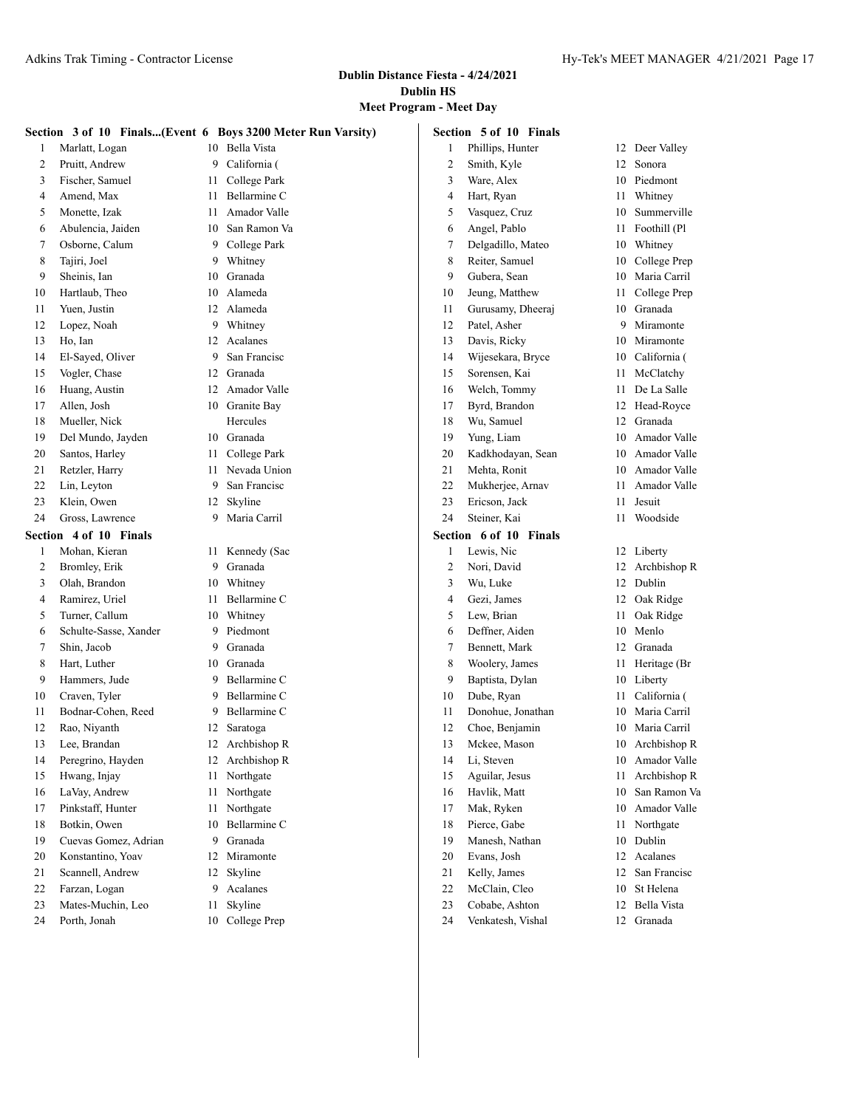# **Meet Program - Meet Day**

|    | Section 5 of 10 Finals<br>Section 3 of 10 Finals(Event 6 Boys 3200 Meter Run Varsity) |    |                           |              |                                |    |                 |  |
|----|---------------------------------------------------------------------------------------|----|---------------------------|--------------|--------------------------------|----|-----------------|--|
| 1  | Marlatt, Logan                                                                        |    | 10 Bella Vista            | $\mathbf{1}$ | Phillips, Hunter               |    | 12 Deer Valley  |  |
| 2  | Pruitt, Andrew                                                                        | 9  | California (              | 2            | Smith, Kyle                    | 12 | Sonora          |  |
| 3  | Fischer, Samuel                                                                       | 11 | College Park              | 3            | Ware, Alex                     | 10 | Piedmont        |  |
| 4  | Amend, Max                                                                            | 11 | Bellarmine C              | 4            | Hart, Ryan                     | 11 | Whitney         |  |
| 5  | Monette, Izak                                                                         | 11 | Amador Valle              | 5            | Vasquez, Cruz                  | 10 | Summerville     |  |
| 6  | Abulencia, Jaiden                                                                     | 10 | San Ramon Va              | 6            | Angel, Pablo                   | 11 | Foothill (Pl    |  |
| 7  | Osborne, Calum                                                                        | 9  | College Park              | 7            | Delgadillo, Mateo              | 10 | Whitney         |  |
| 8  | Tajiri, Joel                                                                          | 9  | Whitney                   | 8            | Reiter, Samuel                 | 10 | College Prep    |  |
| 9  | Sheinis, Ian                                                                          | 10 | Granada                   | 9            | Gubera, Sean                   | 10 | Maria Carril    |  |
| 10 | Hartlaub, Theo                                                                        | 10 | Alameda                   | 10           | Jeung, Matthew                 | 11 | College Prep    |  |
| 11 | Yuen, Justin                                                                          | 12 | Alameda                   | 11           | Gurusamy, Dheeraj              | 10 | Granada         |  |
| 12 | Lopez, Noah                                                                           | 9  | Whitney                   | 12           | Patel, Asher                   | 9  | Miramonte       |  |
| 13 | Ho, Ian                                                                               | 12 | Acalanes                  | 13           | Davis, Ricky                   | 10 | Miramonte       |  |
| 14 | El-Sayed, Oliver                                                                      | 9  | San Francisc              | 14           | Wijesekara, Bryce              | 10 | California (    |  |
| 15 | Vogler, Chase                                                                         | 12 | Granada                   | 15           | Sorensen, Kai                  | 11 | McClatchy       |  |
| 16 | Huang, Austin                                                                         | 12 | Amador Valle              | 16           | Welch, Tommy                   | 11 | De La Salle     |  |
| 17 | Allen, Josh                                                                           | 10 | Granite Bay               | 17           | Byrd, Brandon                  |    | 12 Head-Royce   |  |
| 18 | Mueller, Nick                                                                         |    | Hercules                  | 18           | Wu, Samuel                     | 12 | Granada         |  |
| 19 | Del Mundo, Jayden                                                                     | 10 | Granada                   | 19           | Yung, Liam                     | 10 | Amador Valle    |  |
| 20 | Santos, Harley                                                                        | 11 | College Park              | 20           | Kadkhodayan, Sean              | 10 | Amador Valle    |  |
| 21 | Retzler, Harry                                                                        | 11 | Nevada Union              | 21           | Mehta, Ronit                   | 10 | Amador Valle    |  |
| 22 | Lin, Leyton                                                                           | 9  | San Francisc              | 22           | Mukherjee, Arnav               | 11 | Amador Valle    |  |
| 23 | Klein, Owen                                                                           |    | 12 Skyline                | 23           | Ericson, Jack                  | 11 | Jesuit          |  |
| 24 | Gross, Lawrence                                                                       | 9  | Maria Carril              | 24           | Steiner, Kai                   | 11 | Woodside        |  |
|    | Section 4 of 10 Finals                                                                |    |                           |              | Section 6 of 10 Finals         |    |                 |  |
| 1  | Mohan, Kieran                                                                         | 11 | Kennedy (Sac              | 1            | Lewis, Nic                     |    | 12 Liberty      |  |
| 2  | Bromley, Erik                                                                         | 9  | Granada                   | 2            | Nori, David                    | 12 | Archbishop R    |  |
| 3  | Olah, Brandon                                                                         | 10 | Whitney                   | 3            | Wu, Luke                       | 12 | Dublin          |  |
| 4  | Ramirez, Uriel                                                                        | 11 | Bellarmine C              | 4            | Gezi, James                    | 12 | Oak Ridge       |  |
| 5  | Turner, Callum                                                                        | 10 | Whitney                   | 5            | Lew, Brian                     | 11 | Oak Ridge       |  |
| 6  | Schulte-Sasse, Xander                                                                 | 9  | Piedmont                  | 6            | Deffner, Aiden                 | 10 | Menlo           |  |
| 7  | Shin, Jacob                                                                           | 9  | Granada                   | 7            | Bennett, Mark                  | 12 | Granada         |  |
| 8  | Hart, Luther                                                                          | 10 | Granada                   | 8            | Woolery, James                 | 11 | Heritage (Br    |  |
| 9  | Hammers, Jude                                                                         | 9  | Bellarmine C              | 9            | Baptista, Dylan                | 10 | Liberty         |  |
| 10 | Craven, Tyler                                                                         | 9  | Bellarmine C              | 10           | Dube, Ryan                     | 11 | California (    |  |
| 11 | Bodnar-Cohen, Reed                                                                    | 9  | Bellarmine C              | 11           | Donohue, Jonathan              | 10 | Maria Carril    |  |
| 12 | Rao, Niyanth                                                                          |    | 12 Saratoga               |              | Choe, Benjamin                 |    | 10 Maria Carril |  |
| 13 | Lee, Brandan                                                                          |    | 12 Archbishop R           | 12<br>13     |                                |    | 10 Archbishop R |  |
|    | Peregrino, Hayden                                                                     |    | Archbishop R              |              | Mckee, Mason<br>Li, Steven     |    | 10 Amador Valle |  |
| 14 |                                                                                       | 12 |                           | 14           |                                |    | Archbishop R    |  |
| 15 | Hwang, Injay<br>LaVay, Andrew                                                         | 11 | Northgate<br>Northgate    | 15           | Aguilar, Jesus<br>Havlik, Matt | 11 | San Ramon Va    |  |
| 16 |                                                                                       | 11 |                           | 16           |                                | 10 |                 |  |
| 17 | Pinkstaff, Hunter                                                                     | 11 | Northgate<br>Bellarmine C | 17           | Mak, Ryken                     | 10 | Amador Valle    |  |
| 18 | Botkin, Owen                                                                          | 10 | Granada                   | 18           | Pierce, Gabe                   | 11 | Northgate       |  |
| 19 | Cuevas Gomez, Adrian                                                                  | 9  |                           | 19           | Manesh, Nathan                 |    | 10 Dublin       |  |
| 20 | Konstantino, Yoav                                                                     | 12 | Miramonte                 | 20           | Evans, Josh                    | 12 | Acalanes        |  |
| 21 | Scannell, Andrew                                                                      | 12 | Skyline                   | 21           | Kelly, James                   | 12 | San Francisc    |  |
| 22 | Farzan, Logan                                                                         | 9  | Acalanes                  | 22           | McClain, Cleo                  | 10 | St Helena       |  |
| 23 | Mates-Muchin, Leo                                                                     |    | 11 Skyline                | 23           | Cobabe, Ashton                 |    | 12 Bella Vista  |  |
| 24 | Porth, Jonah                                                                          |    | 10 College Prep           | 24           | Venkatesh, Vishal              |    | 12 Granada      |  |

Porth, Jonah 10 College Prep